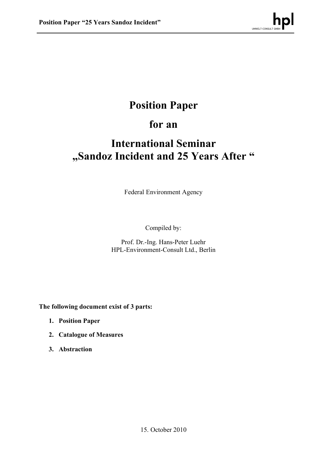# **Position Paper**

# **for an**

# **International Seminar "Sandoz Incident and 25 Years After "**

Federal Environment Agency

Compiled by:

Prof. Dr.-Ing. Hans-Peter Luehr HPL-Environment-Consult Ltd., Berlin

**The following document exist of 3 parts:**

- **1. Position Paper**
- **2. Catalogue of Measures**
- **3. Abstraction**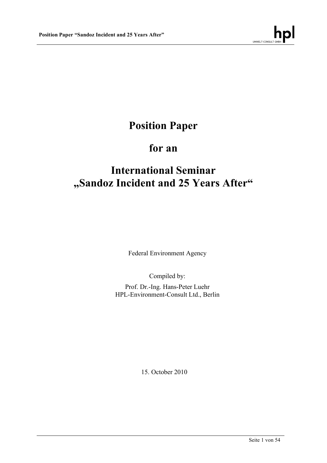

# **Position Paper**

# **for an**

# **International Seminar "Sandoz Incident and 25 Years After"**

Federal Environment Agency

Compiled by:

Prof. Dr.-Ing. Hans-Peter Luehr HPL-Environment-Consult Ltd., Berlin

15. October 2010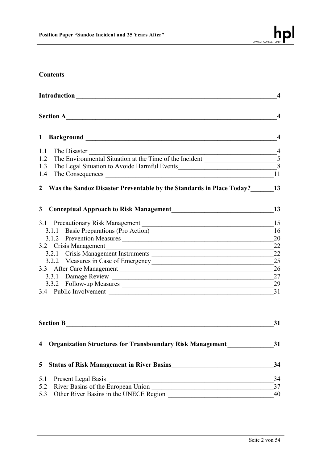

## **Contents**

| Section A                                                                     |                         |  |
|-------------------------------------------------------------------------------|-------------------------|--|
|                                                                               | $\overline{\mathbf{4}}$ |  |
| 1.1 The Disaster                                                              | $^{\circ}$              |  |
|                                                                               |                         |  |
| 1.3 The Legal Situation to Avoide Harmful Events 8<br>1.4 The Consequences 11 |                         |  |
| 1.4 The Consequences                                                          |                         |  |
| 2 Was the Sandoz Disaster Preventable by the Standards in Place Today? 13     | 13                      |  |
|                                                                               | 15                      |  |
| 3.1.1 Basic Preparations (Pro Action) 16                                      |                         |  |
| 3.1.2 Prevention Measures 20                                                  |                         |  |
| 3.2 Crisis Management                                                         | 22                      |  |
|                                                                               |                         |  |
|                                                                               |                         |  |
| 3.3 After Care Management 26                                                  |                         |  |
| 3.3.1 Damage Review 27                                                        |                         |  |
|                                                                               |                         |  |
| 3.4 Public Involvement                                                        | 31                      |  |

| <b>Section B</b> |                                                                  |    |  |
|------------------|------------------------------------------------------------------|----|--|
| $\overline{4}$   | <b>Organization Structures for Transboundary Risk Management</b> | 31 |  |
| 5 <sup>5</sup>   | <b>Status of Risk Management in River Basins</b>                 | 34 |  |
| 5.1              | <b>Present Legal Basis</b>                                       | 34 |  |
|                  | 5.2 River Basins of the European Union                           | 37 |  |
|                  | 5.3 Other River Basins in the UNECE Region                       | 40 |  |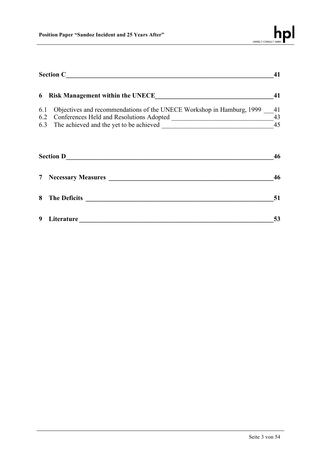|            | <b>Section C</b>                                                                                                  |          |
|------------|-------------------------------------------------------------------------------------------------------------------|----------|
| 6          | <b>Risk Management within the UNECE</b>                                                                           | 41       |
| 6.1<br>6.2 | Objectives and recommendations of the UNECE Workshop in Hamburg, 1999<br>Conferences Held and Resolutions Adopted | 41<br>43 |
|            | 6.3 The achieved and the yet to be achieved                                                                       | 45       |
|            | <b>Section D</b>                                                                                                  | 46       |
|            | <b>Necessary Measures</b>                                                                                         | 46       |

| 8 The Deficits |    |
|----------------|----|
| 9 Literature   | 53 |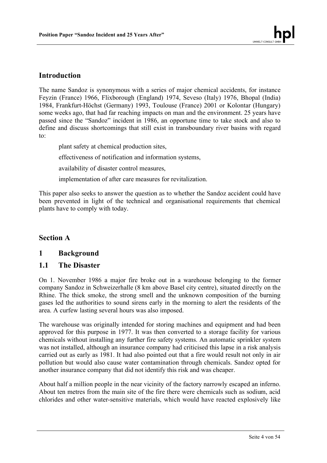## **Introduction**

The name Sandoz is synonymous with a series of major chemical accidents, for instance Feyzin (France) 1966, Flixborough (England) 1974, Seveso (Italy) 1976, Bhopal (India) 1984, Frankfurt-Höchst (Germany) 1993, Toulouse (France) 2001 or Kolontar (Hungary) some weeks ago, that had far reaching impacts on man and the environment. 25 years have passed since the "Sandoz" incident in 1986, an opportune time to take stock and also to define and discuss shortcomings that still exist in transboundary river basins with regard to:

plant safety at chemical production sites, effectiveness of notification and information systems, availability of disaster control measures,

implementation of after care measures for revitalization.

This paper also seeks to answer the question as to whether the Sandoz accident could have been prevented in light of the technical and organisational requirements that chemical plants have to comply with today.

## **Section A**

## **1 Background**

## **1.1 The Disaster**

On 1. November 1986 a major fire broke out in a warehouse belonging to the former company Sandoz in Schweizerhalle (8 km above Basel city centre), situated directly on the Rhine. The thick smoke, the strong smell and the unknown composition of the burning gases led the authorities to sound sirens early in the morning to alert the residents of the area. A curfew lasting several hours was also imposed.

The warehouse was originally intended for storing machines and equipment and had been approved for this purpose in 1977. It was then converted to a storage facility for various chemicals without installing any further fire safety systems. An automatic sprinkler system was not installed, although an insurance company had criticised this lapse in a risk analysis carried out as early as 1981. It had also pointed out that a fire would result not only in air pollution but would also cause water contamination through chemicals. Sandoz opted for another insurance company that did not identify this risk and was cheaper.

About half a million people in the near vicinity of the factory narrowly escaped an inferno. About ten metres from the main site of the fire there were chemicals such as sodium, acid chlorides and other water-sensitive materials, which would have reacted explosively like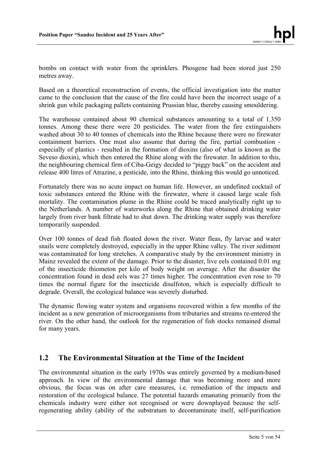bombs on contact with water from the sprinklers. Phosgene had been stored just 250 metres away.

Based on a theoretical reconstruction of events, the official investigation into the matter came to the conclusion that the cause of the fire could have been the incorrect usage of a shrink gun while packaging pallets containing Prussian blue, thereby causing smouldering.

The warehouse contained about 90 chemical substances amounting to a total of 1.350 tonnes. Among these there were 20 pesticides. The water from the fire extinguishers washed about 30 to 40 tonnes of chemicals into the Rhine because there were no firewater containment barriers. One must also assume that during the fire, partial combustion especially of plastics - resulted in the formation of dioxins (also of what is known as the Seveso dioxin), which then entered the Rhine along with the firewater. In addition to this, the neighbouring chemical firm of Ciba-Geigy decided to "piggy back" on the accident and release 400 litres of Atrazine, a pesticide, into the Rhine, thinking this would go unnoticed.

Fortunately there was no acute impact on human life. However, an undefined cocktail of toxic substances entered the Rhine with the firewater, where it caused large scale fish mortality. The contamination plume in the Rhine could be traced analytically right up to the Netherlands. A number of waterworks along the Rhine that obtained drinking water largely from river bank filtrate had to shut down. The drinking water supply was therefore temporarily suspended.

Over 100 tonnes of dead fish floated down the river. Water fleas, fly larvae and water snails were completely destroyed, especially in the upper Rhine valley. The river sediment was contaminated for long stretches. A comparative study by the environment ministry in Mainz revealed the extent of the damage. Prior to the disaster, live eels contained 0.01 mg of the insecticide thiometon per kilo of body weight on average. After the disaster the concentration found in dead eels was 27 times higher. The concentration even rose to 70 times the normal figure for the insecticide disulfoton, which is especially difficult to degrade. Overall, the ecological balance was severely disturbed.

The dynamic flowing water system and organisms recovered within a few months of the incident as a new generation of microorganisms from tributaries and streams re-entered the river. On the other hand, the outlook for the regeneration of fish stocks remained dismal for many years.

## **1.2 The Environmental Situation at the Time of the Incident**

The environmental situation in the early 1970s was entirely governed by a medium-based approach. In view of the environmental damage that was becoming more and more obvious, the focus was on after care measures, i.e. remediation of the impacts and restoration of the ecological balance. The potential hazards emanating primarily from the chemicals industry were either not recognised or were downplayed because the selfregenerating ability (ability of the substratum to decontaminate itself, self-purification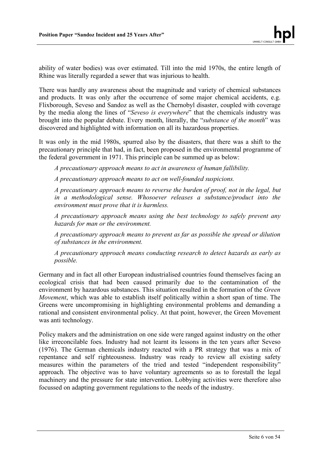ability of water bodies) was over estimated. Till into the mid 1970s, the entire length of Rhine was literally regarded a sewer that was injurious to health.

There was hardly any awareness about the magnitude and variety of chemical substances and products. It was only after the occurrence of some major chemical accidents, e.g. Flixborough, Seveso and Sandoz as well as the Chernobyl disaster, coupled with coverage by the media along the lines of "*Seveso is everywhere*" that the chemicals industry was brought into the popular debate. Every month, literally, the "*substance of the month*" was discovered and highlighted with information on all its hazardous properties.

It was only in the mid 1980s, spurred also by the disasters, that there was a shift to the precautionary principle that had, in fact, been proposed in the environmental programme of the federal government in 1971. This principle can be summed up as below:

*A precautionary approach means to act in awareness of human fallibility.*

*A precautionary approach means to act on well-founded suspicions.*

*A precautionary approach means to reverse the burden of proof, not in the legal, but in a methodological sense. Whosoever releases a substance/product into the environment must prove that it is harmless.*

*A precautionary approach means using the best technology to safely prevent any hazards for man or the environment.*

*A precautionary approach means to prevent as far as possible the spread or dilution of substances in the environment.*

*A precautionary approach means conducting research to detect hazards as early as possible.*

Germany and in fact all other European industrialised countries found themselves facing an ecological crisis that had been caused primarily due to the contamination of the environment by hazardous substances. This situation resulted in the formation of the *Green Movement*, which was able to establish itself politically within a short span of time. The Greens were uncompromising in highlighting environmental problems and demanding a rational and consistent environmental policy. At that point, however, the Green Movement was anti technology.

Policy makers and the administration on one side were ranged against industry on the other like irreconcilable foes. Industry had not learnt its lessons in the ten years after Seveso (1976). The German chemicals industry reacted with a PR strategy that was a mix of repentance and self righteousness. Industry was ready to review all existing safety measures within the parameters of the tried and tested "independent responsibility" approach. The objective was to have voluntary agreements so as to forestall the legal machinery and the pressure for state intervention. Lobbying activities were therefore also focussed on adapting government regulations to the needs of the industry.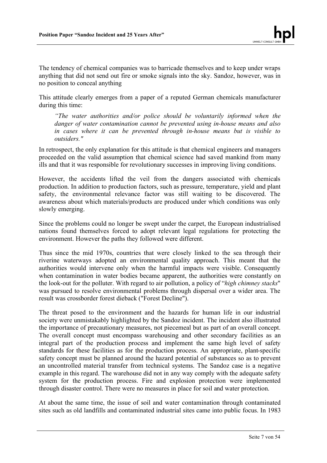The tendency of chemical companies was to barricade themselves and to keep under wraps anything that did not send out fire or smoke signals into the sky. Sandoz, however, was in no position to conceal anything

This attitude clearly emerges from a paper of a reputed German chemicals manufacturer during this time:

*"The water authorities and/or police should be voluntarily informed when the danger of water contamination cannot be prevented using in-house means and also in cases where it can be prevented through in-house means but is visible to outsiders."*

In retrospect, the only explanation for this attitude is that chemical engineers and managers proceeded on the valid assumption that chemical science had saved mankind from many ills and that it was responsible for revolutionary successes in improving living conditions.

However, the accidents lifted the veil from the dangers associated with chemicals production. In addition to production factors, such as pressure, temperature, yield and plant safety, the environmental relevance factor was still waiting to be discovered. The awareness about which materials/products are produced under which conditions was only slowly emerging.

Since the problems could no longer be swept under the carpet, the European industrialised nations found themselves forced to adopt relevant legal regulations for protecting the environment. However the paths they followed were different.

Thus since the mid 1970s, countries that were closely linked to the sea through their riverine waterways adopted an environmental quality approach. This meant that the authorities would intervene only when the harmful impacts were visible. Consequently when contamination in water bodies became apparent, the authorities were constantly on the look-out for the polluter. With regard to air pollution, a policy of "*high chimney stacks*" was pursued to resolve environmental problems through dispersal over a wider area. The result was crossborder forest dieback ("Forest Decline").

The threat posed to the environment and the hazards for human life in our industrial society were unmistakably highlighted by the Sandoz incident. The incident also illustrated the importance of precautionary measures, not piecemeal but as part of an overall concept. The overall concept must encompass warehousing and other secondary facilities as an integral part of the production process and implement the same high level of safety standards for these facilities as for the production process. An appropriate, plant-specific safety concept must be planned around the hazard potential of substances so as to prevent an uncontrolled material transfer from technical systems. The Sandoz case is a negative example in this regard. The warehouse did not in any way comply with the adequate safety system for the production process. Fire and explosion protection were implemented through disaster control. There were no measures in place for soil and water protection.

At about the same time, the issue of soil and water contamination through contaminated sites such as old landfills and contaminated industrial sites came into public focus. In 1983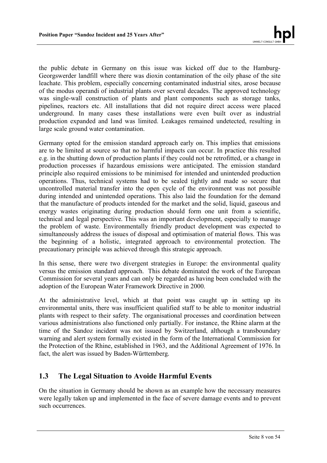the public debate in Germany on this issue was kicked off due to the Hamburg-Georgswerder landfill where there was dioxin contamination of the oily phase of the site leachate. This problem, especially concerning contaminated industrial sites, arose because of the modus operandi of industrial plants over several decades. The approved technology was single-wall construction of plants and plant components such as storage tanks, pipelines, reactors etc. All installations that did not require direct access were placed underground. In many cases these installations were even built over as industrial production expanded and land was limited. Leakages remained undetected, resulting in large scale ground water contamination.

Germany opted for the emission standard approach early on. This implies that emissions are to be limited at source so that no harmful impacts can occur. In practice this resulted e.g. in the shutting down of production plants if they could not be retrofitted, or a change in production processes if hazardous emissions were anticipated. The emission standard principle also required emissions to be minimised for intended and unintended production operations. Thus, technical systems had to be sealed tightly and made so secure that uncontrolled material transfer into the open cycle of the environment was not possible during intended and unintended operations. This also laid the foundation for the demand that the manufacture of products intended for the market and the solid, liquid, gaseous and energy wastes originating during production should form one unit from a scientific, technical and legal perspective. This was an important development, especially to manage the problem of waste. Environmentally friendly product development was expected to simultaneously address the issues of disposal and optimisation of material flows. This was the beginning of a holistic, integrated approach to environmental protection. The precautionary principle was achieved through this strategic approach.

In this sense, there were two divergent strategies in Europe: the environmental quality versus the emission standard approach. This debate dominated the work of the European Commission for several years and can only be regarded as having been concluded with the adoption of the European Water Framework Directive in 2000.

At the administrative level, which at that point was caught up in setting up its environmental units, there was insufficient qualified staff to be able to monitor industrial plants with respect to their safety. The organisational processes and coordination between various administrations also functioned only partially. For instance, the Rhine alarm at the time of the Sandoz incident was not issued by Switzerland, although a transboundary warning and alert system formally existed in the form of the International Commission for the Protection of the Rhine, established in 1963, and the Additional Agreement of 1976. In fact, the alert was issued by Baden-Württemberg.

## **1.3 The Legal Situation to Avoide Harmful Events**

On the situation in Germany should be shown as an example how the necessary measures were legally taken up and implemented in the face of severe damage events and to prevent such occurrences.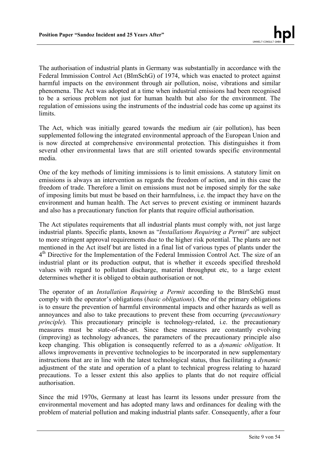The authorisation of industrial plants in Germany was substantially in accordance with the Federal Immission Control Act (BImSchG) of 1974, which was enacted to protect against harmful impacts on the environment through air pollution, noise, vibrations and similar phenomena. The Act was adopted at a time when industrial emissions had been recognised to be a serious problem not just for human health but also for the environment. The regulation of emissions using the instruments of the industrial code has come up against its limits.

The Act, which was initially geared towards the medium air (air pollution), has been supplemented following the integrated environmental approach of the European Union and is now directed at comprehensive environmental protection. This distinguishes it from several other environmental laws that are still oriented towards specific environmental media.

One of the key methods of limiting immissions is to limit emissions. A statutory limit on emissions is always an intervention as regards the freedom of action, and in this case the freedom of trade. Therefore a limit on emissions must not be imposed simply for the sake of imposing limits but must be based on their harmfulness, i.e. the impact they have on the environment and human health. The Act serves to prevent existing or imminent hazards and also has a precautionary function for plants that require official authorisation.

The Act stipulates requirements that all industrial plants must comply with, not just large industrial plants. Specific plants, known as "*Installations Requiring a Permit*" are subject to more stringent approval requirements due to the higher risk potential. The plants are not mentioned in the Act itself but are listed in a final list of various types of plants under the 4<sup>th</sup> Directive for the Implementation of the Federal Immission Control Act. The size of an industrial plant or its production output, that is whether it exceeds specified threshold values with regard to pollutant discharge, material throughput etc, to a large extent determines whether it is obliged to obtain authorisation or not.

The operator of an *Installation Requiring a Permit* according to the BImSchG must comply with the operator's obligations (*basic obligations*). One of the primary obligations is to ensure the prevention of harmful environmental impacts and other hazards as well as annoyances and also to take precautions to prevent these from occurring (*precautionary principle*). This precautionary principle is technology-related, i.e. the precautionary measures must be state-of-the-art. Since these measures are constantly evolving (improving) as technology advances, the parameters of the precautionary principle also keep changing. This obligation is consequently referred to as a *dynamic obligation*. It allows improvements in preventive technologies to be incorporated in new supplementary instructions that are in line with the latest technological status, thus facilitating a *dynamic* adjustment of the state and operation of a plant to technical progress relating to hazard precautions. To a lesser extent this also applies to plants that do not require official authorisation.

Since the mid 1970s, Germany at least has learnt its lessons under pressure from the environmental movement and has adopted many laws and ordinances for dealing with the problem of material pollution and making industrial plants safer. Consequently, after a four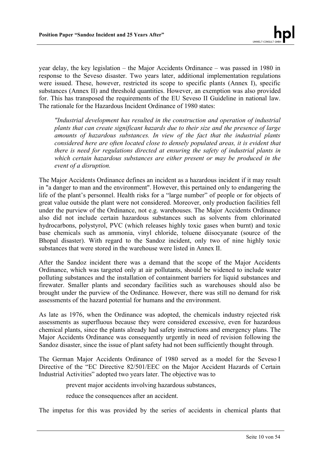year delay, the key legislation – the Major Accidents Ordinance – was passed in 1980 in response to the Seveso disaster. Two years later, additional implementation regulations were issued. These, however, restricted its scope to specific plants (Annex I), specific substances (Annex II) and threshold quantities. However, an exemption was also provided for. This has transposed the requirements of the EU Seveso II Guideline in national law. The rationale for the Hazardous Incident Ordinance of 1980 states:

*"Industrial development has resulted in the construction and operation of industrial plants that can create significant hazards due to their size and the presence of large amounts of hazardous substances. In view of the fact that the industrial plants considered here are often located close to densely populated areas, it is evident that there is need for regulations directed at ensuring the safety of industrial plants in which certain hazardous substances are either present or may be produced in the event of a disruption.*

The Major Accidents Ordinance defines an incident as a hazardous incident if it may result in "a danger to man and the environment". However, this pertained only to endangering the life of the plant's personnel. Health risks for a "large number" of people or for objects of great value outside the plant were not considered. Moreover, only production facilities fell under the purview of the Ordinance, not e.g. warehouses. The Major Accidents Ordinance also did not include certain hazardous substances such as solvents from chlorinated hydrocarbons, polystyrol, PVC (which releases highly toxic gases when burnt) and toxic base chemicals such as ammonia, vinyl chloride, toluene diisocyanate (source of the Bhopal disaster). With regard to the Sandoz incident, only two of nine highly toxic substances that were stored in the warehouse were listed in Annex II.

After the Sandoz incident there was a demand that the scope of the Major Accidents Ordinance, which was targeted only at air pollutants, should be widened to include water polluting substances and the installation of containment barriers for liquid substances and firewater. Smaller plants and secondary facilities such as warehouses should also be brought under the purview of the Ordinance. However, there was still no demand for risk assessments of the hazard potential for humans and the environment.

As late as 1976, when the Ordinance was adopted, the chemicals industry rejected risk assessments as superfluous because they were considered excessive, even for hazardous chemical plants, since the plants already had safety instructions and emergency plans. The Major Accidents Ordinance was consequently urgently in need of revision following the Sandoz disaster, since the issue of plant safety had not been sufficiently thought through.

The German Major Accidents Ordinance of 1980 served as a model for the Seveso I Directive of the "EC Directive 82/501/EEC on the Major Accident Hazards of Certain Industrial Activities" adopted two years later. The objective was to

prevent major accidents involving hazardous substances,

reduce the consequences after an accident.

The impetus for this was provided by the series of accidents in chemical plants that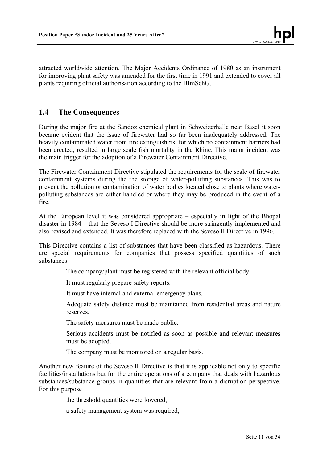attracted worldwide attention. The Major Accidents Ordinance of 1980 as an instrument for improving plant safety was amended for the first time in 1991 and extended to cover all plants requiring official authorisation according to the BImSchG.

## **1.4 The Consequences**

During the major fire at the Sandoz chemical plant in Schweizerhalle near Basel it soon became evident that the issue of firewater had so far been inadequately addressed. The heavily contaminated water from fire extinguishers, for which no containment barriers had been erected, resulted in large scale fish mortality in the Rhine. This major incident was the main trigger for the adoption of a Firewater Containment Directive.

The Firewater Containment Directive stipulated the requirements for the scale of firewater containment systems during the the storage of water-polluting substances. This was to prevent the pollution or contamination of water bodies located close to plants where waterpolluting substances are either handled or where they may be produced in the event of a fire.

At the European level it was considered appropriate – especially in light of the Bhopal disaster in 1984 – that the Seveso I Directive should be more stringently implemented and also revised and extended. It was therefore replaced with the Seveso II Directive in 1996.

This Directive contains a list of substances that have been classified as hazardous. There are special requirements for companies that possess specified quantities of such substances:

The company/plant must be registered with the relevant official body.

It must regularly prepare safety reports.

It must have internal and external emergency plans.

Adequate safety distance must be maintained from residential areas and nature reserves.

The safety measures must be made public.

Serious accidents must be notified as soon as possible and relevant measures must be adopted.

The company must be monitored on a regular basis.

Another new feature of the Seveso II Directive is that it is applicable not only to specific facilities/installations but for the entire operations of a company that deals with hazardous substances/substance groups in quantities that are relevant from a disruption perspective. For this purpose

the threshold quantities were lowered,

a safety management system was required,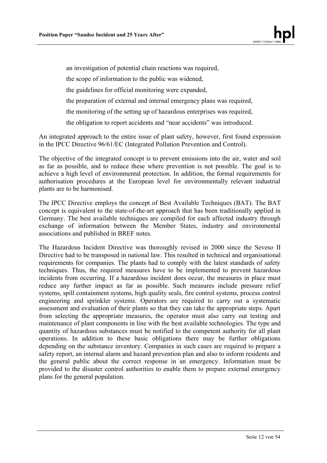an investigation of potential chain reactions was required,

the scope of information to the public was widened,

the guidelines for official monitoring were expanded,

the preparation of external and internal emergency plans was required,

the monitoring of the setting up of hazardous enterprises was required,

the obligation to report accidents and "near accidents" was introduced.

An integrated approach to the entire issue of plant safety, however, first found expression in the IPCC Directive 96/61/EC (Integrated Pollution Prevention and Control).

The objective of the integrated concept is to prevent emissions into the air, water and soil as far as possible, and to reduce these where prevention is not possible. The goal is to achieve a high level of environmental protection. In addition, the formal requirements for authorisation procedures at the European level for environmentally relevant industrial plants are to be harmonised.

The IPCC Directive employs the concept of Best Available Techniques (BAT). The BAT concept is equivalent to the state-of-the-art approach that has been traditionally applied in Germany. The best available techniques are compiled for each affected industry through exchange of information between the Member States, industry and environmental associations and published in BREF notes.

The Hazardous Incident Directive was thoroughly revised in 2000 since the Seveso II Directive had to be transposed in national law. This resulted in technical and organisational requirements for companies. The plants had to comply with the latest standards of safety techniques. Thus, the required measures have to be implemented to prevent hazardous incidents from occurring. If a hazardous incident does occur, the measures in place must reduce any further impact as far as possible. Such measures include pressure relief systems, spill containment systems, high quality seals, fire control systems, process control engineering and sprinkler systems. Operators are required to carry out a systematic assessment and evaluation of their plants so that they can take the appropriate steps. Apart from selecting the appropriate measures, the operator must also carry out testing and maintenance of plant components in line with the best available technologies. The type and quantity of hazardous substances must be notified to the competent authority for all plant operations. In addition to these basic obligations there may be further obligations depending on the substance inventory. Companies in such cases are required to prepare a safety report, an internal alarm and hazard prevention plan and also to inform residents and the general public about the correct response in an emergency. Information must be provided to the disaster control authorities to enable them to prepare external emergency plans for the general population.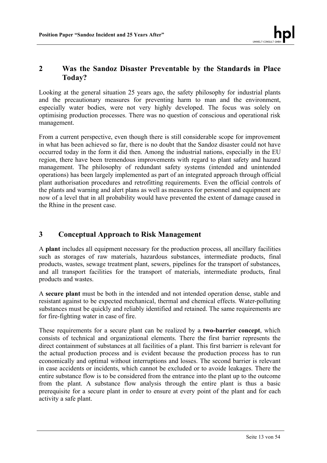## **2 Was the Sandoz Disaster Preventable by the Standards in Place Today?**

Looking at the general situation 25 years ago, the safety philosophy for industrial plants and the precautionary measures for preventing harm to man and the environment, especially water bodies, were not very highly developed. The focus was solely on optimising production processes. There was no question of conscious and operational risk management.

From a current perspective, even though there is still considerable scope for improvement in what has been achieved so far, there is no doubt that the Sandoz disaster could not have occurred today in the form it did then. Among the industrial nations, especially in the EU region, there have been tremendous improvements with regard to plant safety and hazard management. The philosophy of redundant safety systems (intended and unintended operations) has been largely implemented as part of an integrated approach through official plant authorisation procedures and retrofitting requirements. Even the official controls of the plants and warning and alert plans as well as measures for personnel and equipment are now of a level that in all probability would have prevented the extent of damage caused in the Rhine in the present case.

# **3 Conceptual Approach to Risk Management**

A **plant** includes all equipment necessary for the production process, all ancillary facilities such as storages of raw materials, hazardous substances, intermediate products, final products, wastes, sewage treatment plant, sewers, pipelines for the transport of substances, and all transport facilities for the transport of materials, intermediate products, final products and wastes.

A **secure plant** must be both in the intended and not intended operation dense, stable and resistant against to be expected mechanical, thermal and chemical effects. Water-polluting substances must be quickly and reliably identified and retained. The same requirements are for fire-fighting water in case of fire.

These requirements for a secure plant can be realized by a **two-barrier concept**, which consists of technical and organizational elements. There the first barrier represents the direct containment of substances at all facilities of a plant. This first barrierr is relevant for the actual production process and is evident because the production process has to run economically and optimal without interruptions and losses. The second barrier is relevant in case accidents or incidents, which cannot be excluded or to avoide leakages. There the entire substance flow is to be considered from the entrance into the plant up to the outcome from the plant. A substance flow analysis through the entire plant is thus a basic prerequisite for a secure plant in order to ensure at every point of the plant and for each activity a safe plant.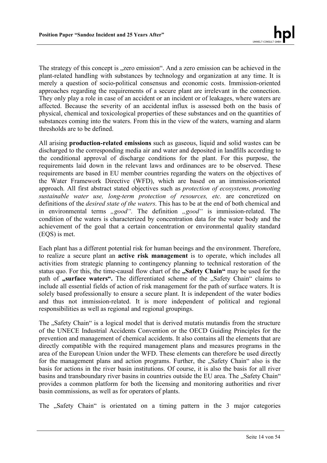The strategy of this concept is "zero emission". And a zero emission can be achieved in the plant-related handling with substances by technology and organization at any time. It is merely a question of socio-political consensus and economic costs. Immission-oriented approaches regarding the requirements of a secure plant are irrelevant in the connection. They only play a role in case of an accident or an incident or of leakages, where waters are affected. Because the severity of an accidental influx is assessed both on the basis of physical, chemical and toxicological properties of these substances and on the quantities of substances coming into the waters. From this in the view of the waters, warning and alarm thresholds are to be defined.

All arising **production-related emissions** such as gaseous, liquid and solid wastes can be discharged to the corresponding media air and water and deposited in landfills according to the conditional approval of discharge conditions for the plant. For this purpose, the requirements laid down in the relevant laws and ordinances are to be observed. These requirements are based in EU member countries regarding the waters on the objectives of the Water Framework Directive (WFD), which are based on an immission-oriented approach. All first abstract stated objectives such as *protection of ecosystems, promoting sustainable water use, long-term protection of resources, etc.* are concretized on definitions of the *desired state of the waters*. This has to be at the end of both chemical and in environmental terms *"good"*. The definition *"good"* is immission-related. The condition of the waters is characterized by concentration data for the water body and the achievement of the goal that a certain concentration or environmental quality standard (EQS) is met.

Each plant has a different potential risk for human beeings and the environment. Therefore, to realize a secure plant an **active risk management** is to operate, which includes all activities from strategic planning to contingency planning to technical restoration of the status quo. For this, the time-causal flow chart of the **"Safety Chain"** may be used for the path of **"surface waters".** The differentiated scheme of the "Safety Chain" claims to include all essential fields of action of risk management for the path of surface waters. It is solely based professionally to ensure a secure plant. It is independent of the water bodies and thus not immission-related. It is more independent of political and regional responsibilities as well as regional and regional groupings.

The "Safety Chain" is a logical model that is derived mutatis mutandis from the structure of the UNECE Industrial Accidents Convention or the OECD Guiding Principles for the prevention and management of chemical accidents. It also contains all the elements that are directly compatible with the required management plans and measures programs in the area of the European Union under the WFD. These elements can therefore be used directly for the management plans and action programs. Further, the "Safety Chain" also is the basis for actions in the river basin institutions. Of course, it is also the basis for all river basins and transboundary river basins in countries outside the EU area. The ..Safety Chain" provides a common platform for both the licensing and monitoring authorities and river basin commissions, as well as for operators of plants.

The "Safety Chain" is orientated on a timing pattern in the 3 major categories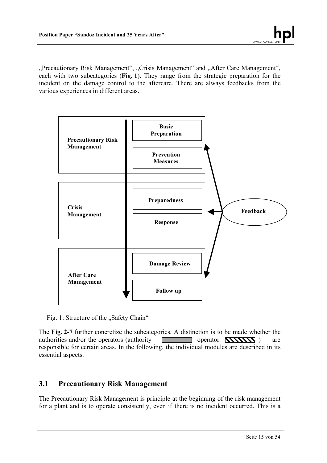"Precautionary Risk Management", "Crisis Management" and "After Care Management", each with two subcategories (**Fig. 1**). They range from the strategic preparation for the incident on the damage control to the aftercare. There are always feedbacks from the various experiences in different areas.



Fig. 1: Structure of the "Safety Chain"

The **Fig. 2-7** further concretize the subcategories. A distinction is to be made whether the authorities and/or the operators (authority  $\Box$  operator  $\Box$  ) are responsible for certain areas. In the following, the individual modules are described in its essential aspects.

## **3.1 Precautionary Risk Management**

The Precautionary Risk Management is principle at the beginning of the risk management for a plant and is to operate consistently, even if there is no incident occurred. This is a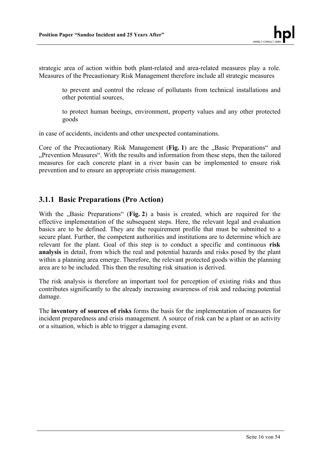strategic area of action within both plant-related and area-related measures play a role. Measures of the Precautionary Risk Management therefore include all strategic measures

to prevent and control the release of pollutants from technical installations and other potential sources,

to protect human beeings, environment, property values and any other protected goods

in case of accidents, incidents and other unexpected contaminations.

Core of the Precautionary Risk Management (Fig. 1) are the ..Basic Preparations<sup>"</sup> and "Prevention Measures". With the results and information from these steps, then the tailored measures for each concrete plant in a river basin can be implemented to ensure risk prevention and to ensure an appropriate crisis management.

## **3.1.1 Basic Preparations (Pro Action)**

With the "Basic Preparations" (Fig. 2) a basis is created, which are required for the effective implementation of the subsequent steps. Here, the relevant legal and evaluation basics are to be defined. They are the requirement profile that must be submitted to a secure plant. Further, the competent authorities and institutions are to determine which are relevant for the plant. Goal of this step is to conduct a specific and continuous **risk analysis** in detail, from which the real and potential hazards and risks posed by the plant within a planning area emerge. Therefore, the relevant protected goods within the planning area are to be included. This then the resulting risk situation is derived.

The risk analysis is therefore an important tool for perception of existing risks and thus contributes significantly to the already increasing awareness of risk and reducing potential damage.

The **inventory of sources of risks** forms the basis for the implementation of measures for incident preparedness and crisis management. A source of risk can be a plant or an activity or a situation, which is able to trigger a damaging event.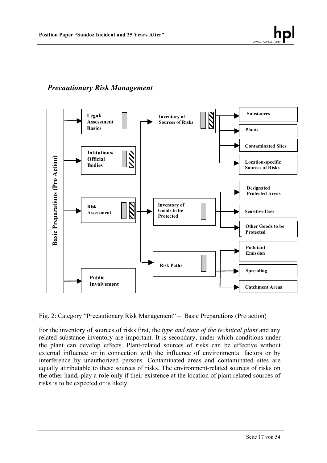# *Precautionary Risk Management*



Fig. 2: Category "Precautionary Risk Management" – Basic Preparations (Pro action)

For the inventory of sources of risks first, the *type and state of the technical plant* and any related substance inventory are important. It is secondary, under which conditions under the plant can develop effects. Plant-related sources of risks can be effective without external influence or in connection with the influence of environmental factors or by interference by unauthorized persons. Contaminated areas and contaminated sites are equally attributable to these sources of risks. The environment-related sources of risks on the other hand, play a role only if their existence at the location of plant-related sources of risks is to be expected or is likely.

UMWELT-CO

hpl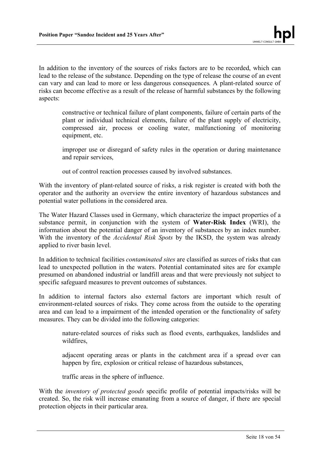In addition to the inventory of the sources of risks factors are to be recorded, which can lead to the release of the substance. Depending on the type of release the course of an event can vary and can lead to more or less dangerous consequences. A plant-related source of risks can become effective as a result of the release of harmful substances by the following aspects:

constructive or technical failure of plant components, failure of certain parts of the plant or individual technical elements, failure of the plant supply of electricity, compressed air, process or cooling water, malfunctioning of monitoring equipment, etc.

improper use or disregard of safety rules in the operation or during maintenance and repair services,

out of control reaction processes caused by involved substances.

With the inventory of plant-related source of risks, a risk register is created with both the operator and the authority an overview the entire inventory of hazardous substances and potential water pollutions in the considered area.

The Water Hazard Classes used in Germany, which characterize the impact properties of a substance permit, in conjunction with the system of **Water-Risk Index** (WRI), the information about the potential danger of an inventory of substances by an index number. With the inventory of the *Accidental Risk Spots* by the IKSD, the system was already applied to river basin level.

In addition to technical facilities *contaminated sites* are classified as surces of risks that can lead to unexpected pollution in the waters. Potential contaminated sites are for example presumed on abandoned industrial or landfill areas and that were previously not subject to specific safeguard measures to prevent outcomes of substances.

In addition to internal factors also external factors are important which result of environment-related sources of risks. They come across from the outside to the operating area and can lead to a impairment of the intended operation or the functionality of safety measures. They can be divided into the following categories:

nature-related sources of risks such as flood events, earthquakes, landslides and wildfires,

adjacent operating areas or plants in the catchment area if a spread over can happen by fire, explosion or critical release of hazardous substances,

traffic areas in the sphere of influence.

With the *inventory of protected goods* specific profile of potential impacts/risks will be created. So, the risk will increase emanating from a source of danger, if there are special protection objects in their particular area.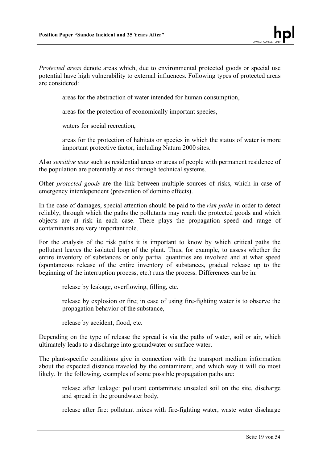*Protected areas* denote areas which, due to environmental protected goods or special use potential have high vulnerability to external influences. Following types of protected areas are considered:

areas for the abstraction of water intended for human consumption,

areas for the protection of economically important species,

waters for social recreation,

areas for the protection of habitats or species in which the status of water is more important protective factor, including Natura 2000 sites.

Also *sensitive uses* such as residential areas or areas of people with permanent residence of the population are potentially at risk through technical systems.

Other *protected goods* are the link between multiple sources of risks, which in case of emergency interdependent (prevention of domino effects).

In the case of damages, special attention should be paid to the *risk paths* in order to detect reliably, through which the paths the pollutants may reach the protected goods and which objects are at risk in each case. There plays the propagation speed and range of contaminants are very important role.

For the analysis of the risk paths it is important to know by which critical paths the pollutant leaves the isolated loop of the plant. Thus, for example, to assess whether the entire inventory of substances or only partial quantities are involved and at what speed (spontaneous release of the entire inventory of substances, gradual release up to the beginning of the interruption process, etc.) runs the process. Differences can be in:

release by leakage, overflowing, filling, etc.

release by explosion or fire; in case of using fire-fighting water is to observe the propagation behavior of the substance,

release by accident, flood, etc.

Depending on the type of release the spread is via the paths of water, soil or air, which ultimately leads to a discharge into groundwater or surface water.

The plant-specific conditions give in connection with the transport medium information about the expected distance traveled by the contaminant, and which way it will do most likely. In the following, examples of some possible propagation paths are:

release after leakage: pollutant contaminate unsealed soil on the site, discharge and spread in the groundwater body,

release after fire: pollutant mixes with fire-fighting water, waste water discharge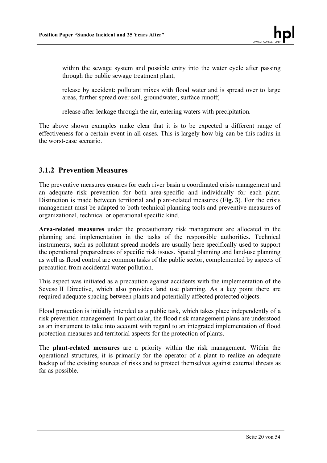within the sewage system and possible entry into the water cycle after passing through the public sewage treatment plant,

release by accident: pollutant mixes with flood water and is spread over to large areas, further spread over soil, groundwater, surface runoff,

release after leakage through the air, entering waters with precipitation.

The above shown examples make clear that it is to be expected a different range of effectiveness for a certain event in all cases. This is largely how big can be this radius in the worst-case scenario.

## **3.1.2 Prevention Measures**

The preventive measures ensures for each river basin a coordinated crisis management and an adequate risk prevention for both area-specific and individually for each plant. Distinction is made between territorial and plant-related measures (**Fig. 3**). For the crisis management must be adapted to both technical planning tools and preventive measures of organizational, technical or operational specific kind.

**Area-related measures** under the precautionary risk management are allocated in the planning and implementation in the tasks of the responsible authorities. Technical instruments, such as pollutant spread models are usually here specifically used to support the operational preparedness of specific risk issues. Spatial planning and land-use planning as well as flood control are common tasks of the public sector, complemented by aspects of precaution from accidental water pollution.

This aspect was initiated as a precaution against accidents with the implementation of the Seveso II Directive, which also provides land use planning. As a key point there are required adequate spacing between plants and potentially affected protected objects.

Flood protection is initially intended as a public task, which takes place independently of a risk prevention management. In particular, the flood risk management plans are understood as an instrument to take into account with regard to an integrated implementation of flood protection measures and territorial aspects for the protection of plants.

The **plant-related measures** are a priority within the risk management. Within the operational structures, it is primarily for the operator of a plant to realize an adequate backup of the existing sources of risks and to protect themselves against external threats as far as possible.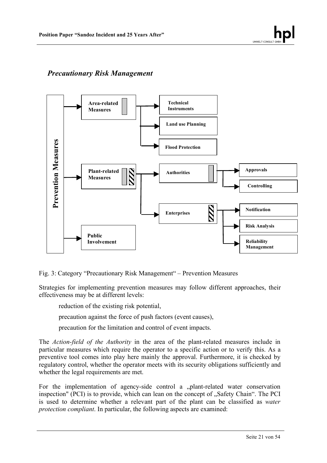## *Precautionary Risk Management*



Fig. 3: Category "Precautionary Risk Management" – Prevention Measures

Strategies for implementing prevention measures may follow different approaches, their effectiveness may be at different levels:

reduction of the existing risk potential,

precaution against the force of push factors (event causes),

precaution for the limitation and control of event impacts.

The *Action-field of the Authority* in the area of the plant-related measures include in particular measures which require the operator to a specific action or to verify this. As a preventive tool comes into play here mainly the approval. Furthermore, it is checked by regulatory control, whether the operator meets with its security obligations sufficiently and whether the legal requirements are met.

For the implementation of agency-side control a "plant-related water conservation inspection" (PCI) is to provide, which can lean on the concept of "Safety Chain". The PCI is used to determine whether a relevant part of the plant can be classified as *water protection compliant*. In particular, the following aspects are examined: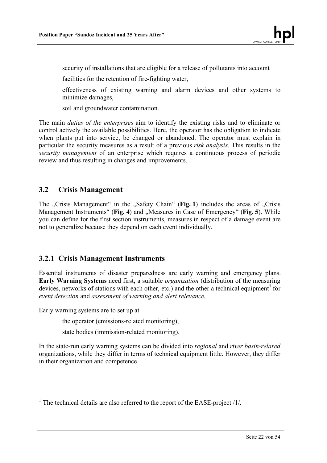security of installations that are eligible for a release of pollutants into account

facilities for the retention of fire-fighting water,

effectiveness of existing warning and alarm devices and other systems to minimize damages,

soil and groundwater contamination.

The main *duties of the enterprises* aim to identify the existing risks and to eliminate or control actively the available possibilities. Here, the operator has the obligation to indicate when plants put into service, be changed or abandoned. The operator must explain in particular the security measures as a result of a previous *risk analysis*. This results in the *security management* of an enterprise which requires a continuous process of periodic review and thus resulting in changes and improvements.

## **3.2 Crisis Management**

The "Crisis Management" in the "Safety Chain" (**Fig. 1**) includes the areas of "Crisis" Management Instruments" (Fig. 4) and "Measures in Case of Emergency" (Fig. 5). While you can define for the first section instruments, measures in respect of a damage event are not to generalize because they depend on each event individually.

## **3.2.1 Crisis Management Instruments**

Essential instruments of disaster preparedness are early warning and emergency plans. **Early Warning Systems** need first, a suitable *organization* (distribution of the measuring devices, networks of stations with each other, etc.) and the other a technical equipment<sup>1</sup> for *event detection* and *assessment of warning and alert relevance*.

Early warning systems are to set up at

 $\overline{a}$ 

the operator (emissions-related monitoring),

state bodies (immission-related monitoring).

In the state-run early warning systems can be divided into *regional* and *river basin-relared*  organizations, while they differ in terms of technical equipment little. However, they differ in their organization and competence.

<sup>&</sup>lt;sup>1</sup> The technical details are also referred to the report of the EASE-project  $/1/$ .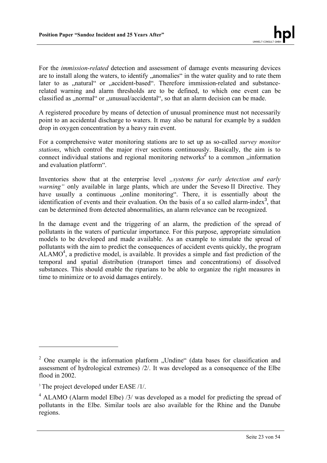For the *immission-related* detection and assessment of damage events measuring devices are to install along the waters, to identify anomalies" in the water quality and to rate them later to as "natural" or "accident-based". Therefore immission-related and substancerelated warning and alarm thresholds are to be defined, to which one event can be classified as "normal" or "unusual/accidental", so that an alarm decision can be made.

A registered procedure by means of detection of unusual prominence must not necessarily point to an accidental discharge to waters. It may also be natural for example by a sudden drop in oxygen concentration by a heavy rain event.

For a comprehensive water monitoring stations are to set up as so-called *survey monitor stations*, which control the major river sections continuously. Basically, the aim is to connect individual stations and regional monitoring networks<sup>2</sup> to a common "information and evaluation platform".

Inventories show that at the enterprise level *"systems for early detection and early warning*" only available in large plants, which are under the Seveso II Directive. They have usually a continuous "online monitoring". There, it is essentially about the identification of events and their evaluation. On the basis of a so called alarm-index<sup>3</sup>, that can be determined from detected abnormalities, an alarm relevance can be recognized.

In the damage event and the triggering of an alarm, the prediction of the spread of pollutants in the waters of particular importance. For this purpose, appropriate simulation models to be developed and made available. As an example to simulate the spread of pollutants with the aim to predict the consequences of accident events quickly, the program  $ALAMO<sup>4</sup>$ , a predictive model, is available. It provides a simple and fast prediction of the temporal and spatial distribution (transport times and concentrations) of dissolved substances. This should enable the riparians to be able to organize the right measures in time to minimize or to avoid damages entirely.

 $\overline{a}$ 

 $2$  One example is the information platform "Undine" (data bases for classification and assessment of hydrological extremes) /2/. It was developed as a consequence of the Elbe flood in 2002.

<sup>&</sup>lt;sup>3</sup> The project developed under EASE /1/.

 $4$  ALAMO (Alarm model Elbe) /3/ was developed as a model for predicting the spread of pollutants in the Elbe. Similar tools are also available for the Rhine and the Danube regions.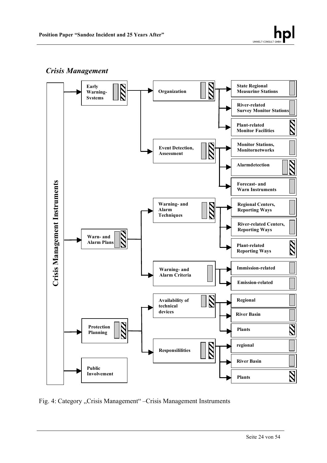## *Crisis Management*

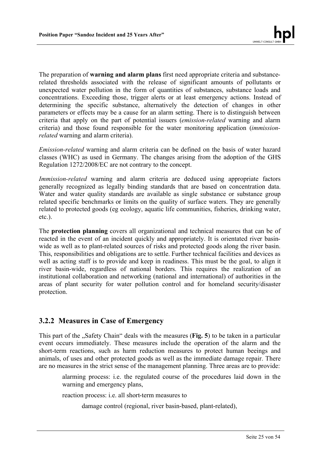The preparation of **warning and alarm plans** first need appropriate criteria and substancerelated thresholds associated with the release of significant amounts of pollutants or unexpected water pollution in the form of quantities of substances, substance loads and concentrations. Exceeding those, trigger alerts or at least emergency actions. Instead of determining the specific substance, alternatively the detection of changes in other parameters or effects may be a cause for an alarm setting. There is to distinguish between criteria that apply on the part of potential issuers (*emission-related* warning and alarm criteria) and those found responsible for the water monitoring application (*immissionrelated* warning and alarm criteria).

*Emission-related* warning and alarm criteria can be defined on the basis of water hazard classes (WHC) as used in Germany. The changes arising from the adoption of the GHS Regulation 1272/2008/EC are not contrary to the concept.

*Immission-related* warning and alarm criteria are deduced using appropriate factors generally recognized as legally binding standards that are based on concentration data. Water and water quality standards are available as single substance or substance group related specific benchmarks or limits on the quality of surface waters. They are generally related to protected goods (eg ecology, aquatic life communities, fisheries, drinking water, etc.).

The **protection planning** covers all organizational and technical measures that can be of reacted in the event of an incident quickly and appropriately. It is orientated river basinwide as well as to plant-related sources of risks and protected goods along the river basin. This, responsibilities and obligations are to settle. Further technical facilities and devices as well as acting staff is to provide and keep in readiness. This must be the goal, to align it river basin-wide, regardless of national borders. This requires the realization of an institutional collaboration and networking (national and international) of authorities in the areas of plant security for water pollution control and for homeland security/disaster protection.

## **3.2.2 Measures in Case of Emergency**

This part of the "Safety Chain" deals with the measures (**Fig. 5**) to be taken in a particular event occurs immediately. These measures include the operation of the alarm and the short-term reactions, such as harm reduction measures to protect human beeings and animals, of uses and other protected goods as well as the immediate damage repair. There are no measures in the strict sense of the management planning. Three areas are to provide:

alarming process: i.e. the regulated course of the procedures laid down in the warning and emergency plans,

reaction process: i.e. all short-term measures to

damage control (regional, river basin-based, plant-related),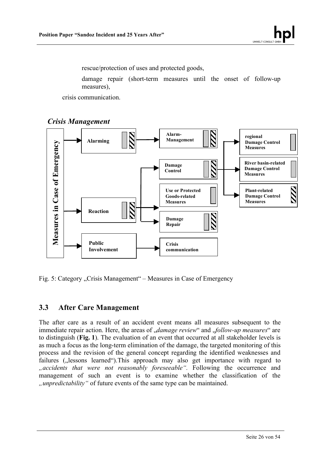rescue/protection of uses and protected goods,

damage repair (short-term measures until the onset of follow-up measures),

crisis communication.





Fig. 5: Category "Crisis Management" – Measures in Case of Emergency

## **3.3 After Care Management**

The after care as a result of an accident event means all measures subsequent to the immediate repair action. Here, the areas of *damage review* and *follow-up measures* are to distinguish (**Fig. 1**). The evaluation of an event that occurred at all stakeholder levels is as much a focus as the long-term elimination of the damage, the targeted monitoring of this process and the revision of the general concept regarding the identified weaknesses and failures ( $\mu$ lessons learned"). This approach may also get importance with regard to *"accidents that were not reasonably foreseeable".* Following the occurrence and management of such an event is to examine whether the classification of the *"unpredictability"* of future events of the same type can be maintained.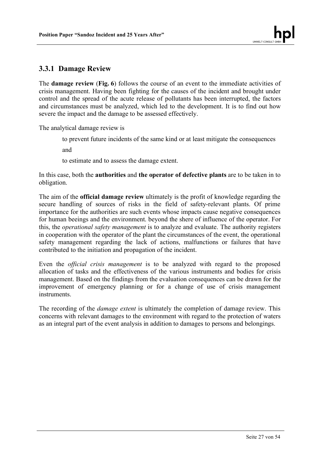## **3.3.1 Damage Review**

The **damage review** (**Fig. 6**) follows the course of an event to the immediate activities of crisis management. Having been fighting for the causes of the incident and brought under control and the spread of the acute release of pollutants has been interrupted, the factors and circumstances must be analyzed, which led to the development. It is to find out how severe the impact and the damage to be assessed effectively.

The analytical damage review is

to prevent future incidents of the same kind or at least mitigate the consequences

and

to estimate and to assess the damage extent.

In this case, both the **authorities** and **the operator of defective plants** are to be taken in to obligation.

The aim of the **official damage review** ultimately is the profit of knowledge regarding the secure handling of sources of risks in the field of safety-relevant plants. Of prime importance for the authorities are such events whose impacts cause negative consequences for human beeings and the environment. beyond the shere of influence of the operator. For this, the *operational safety management* is to analyze and evaluate. The authority registers in cooperation with the operator of the plant the circumstances of the event, the operational safety management regarding the lack of actions, malfunctions or failures that have contributed to the initiation and propagation of the incident.

Even the *official crisis management* is to be analyzed with regard to the proposed allocation of tasks and the effectiveness of the various instruments and bodies for crisis management. Based on the findings from the evaluation consequences can be drawn for the improvement of emergency planning or for a change of use of crisis management **instruments** 

The recording of the *damage extent* is ultimately the completion of damage review. This concerns with relevant damages to the environment with regard to the protection of waters as an integral part of the event analysis in addition to damages to persons and belongings.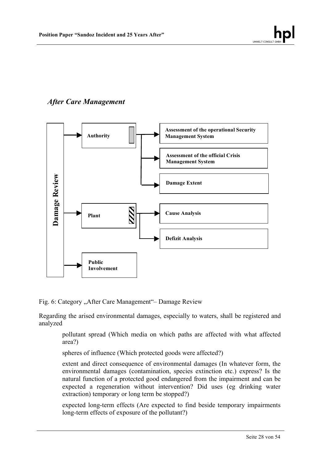

# *After Care Management*



Fig. 6: Category "After Care Management" – Damage Review

Regarding the arised environmental damages, especially to waters, shall be registered and analyzed

pollutant spread (Which media on which paths are affected with what affected area?)

spheres of influence (Which protected goods were affected?)

extent and direct consequence of environmental damages (In whatever form, the environmental damages (contamination, species extinction etc.) express? Is the natural function of a protected good endangered from the impairment and can be expected a regeneration without intervention? Did uses (eg drinking water extraction) temporary or long term be stopped?)

expected long-term effects (Are expected to find beside temporary impairments long-term effects of exposure of the pollutant?)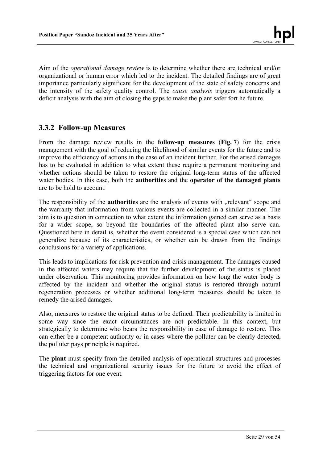Aim of the *operational damage review* is to determine whether there are technical and/or organizational or human error which led to the incident. The detailed findings are of great importance particularly significant for the development of the state of safety concerns and the intensity of the safety quality control. The *cause analysis* triggers automatically a deficit analysis with the aim of closing the gaps to make the plant safer fort he future.

## **3.3.2 Follow-up Measures**

From the damage review results in the **follow-up measures** (**Fig. 7**) for the crisis management with the goal of reducing the likelihood of similar events for the future and to improve the efficiency of actions in the case of an incident further. For the arised damages has to be evaluated in addition to what extent these require a permanent monitoring and whether actions should be taken to restore the original long-term status of the affected water bodies. In this case, both the **authorities** and the **operator of the damaged plants** are to be hold to account.

The responsibility of the **authorities** are the analysis of events with "relevant" scope and the warranty that information from various events are collected in a similar manner. The aim is to question in connection to what extent the information gained can serve as a basis for a wider scope, so beyond the boundaries of the affected plant also serve can. Questioned here in detail is, whether the event considered is a special case which can not generalize because of its characteristics, or whether can be drawn from the findings conclusions for a variety of applications.

This leads to implications for risk prevention and crisis management. The damages caused in the affected waters may require that the further development of the status is placed under observation. This monitoring provides information on how long the water body is affected by the incident and whether the original status is restored through natural regeneration processes or whether additional long-term measures should be taken to remedy the arised damages.

Also, measures to restore the original status to be defined. Their predictability is limited in some way since the exact circumstances are not predictable. In this context, but strategically to determine who bears the responsibility in case of damage to restore. This can either be a competent authority or in cases where the polluter can be clearly detected, the polluter pays principle is required.

The **plant** must specify from the detailed analysis of operational structures and processes the technical and organizational security issues for the future to avoid the effect of triggering factors for one event.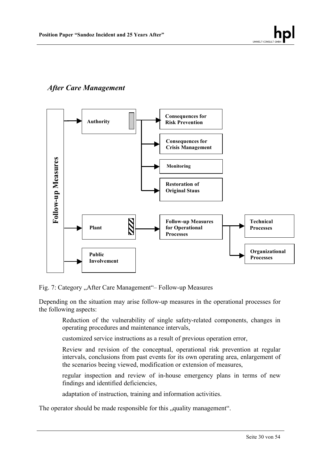# *After Care Management*



Fig. 7: Category "After Care Management" – Follow-up Measures

Depending on the situation may arise follow-up measures in the operational processes for the following aspects:

Reduction of the vulnerability of single safety-related components, changes in operating procedures and maintenance intervals,

customized service instructions as a result of previous operation error,

Review and revision of the conceptual, operational risk prevention at regular intervals, conclusions from past events for its own operating area, enlargement of the scenarios beeing viewed, modification or extension of measures,

regular inspection and review of in-house emergency plans in terms of new findings and identified deficiencies,

adaptation of instruction, training and information activities.

The operator should be made responsible for this "quality management".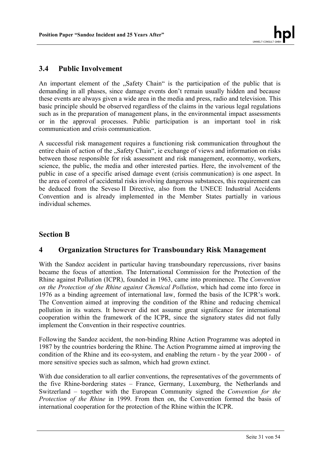## **3.4 Public Involvement**

An important element of the "Safety Chain" is the participation of the public that is demanding in all phases, since damage events don't remain usually hidden and because these events are always given a wide area in the media and press, radio and television. This basic principle should be observed regardless of the claims in the various legal regulations such as in the preparation of management plans, in the environmental impact assessments or in the approval processes. Public participation is an important tool in risk communication and crisis communication.

A successful risk management requires a functioning risk communication throughout the entire chain of action of the "Safety Chain", ie exchange of views and information on risks between those responsible for risk assessment and risk management, econnomy, workers, science, the public, the media and other interested parties. Here, the involvement of the public in case of a specific arised damage event (crisis communication) is one aspect. In the area of control of accidental risks involving dangerous substances, this requirement can be deduced from the Seveso II Directive, also from the UNECE Industrial Accidents Convention and is already implemented in the Member States partially in various individual schemes.

## **Section B**

## **4 Organization Structures for Transboundary Risk Management**

With the Sandoz accident in particular having transboundary repercussions, river basins became the focus of attention. The International Commission for the Protection of the Rhine against Pollution (ICPR), founded in 1963, came into prominence. The *Convention on the Protection of the Rhine against Chemical Pollution*, which had come into force in 1976 as a binding agreement of international law, formed the basis of the ICPR's work. The Convention aimed at improving the condition of the Rhine and reducing chemical pollution in its waters. It however did not assume great significance for international cooperation within the framework of the ICPR, since the signatory states did not fully implement the Convention in their respective countries.

Following the Sandoz accident, the non-binding Rhine Action Programme was adopted in 1987 by the countries bordering the Rhine. The Action Programme aimed at improving the condition of the Rhine and its eco-system, and enabling the return - by the year 2000 - of more sensitive species such as salmon, which had grown extinct.

With due consideration to all earlier conventions, the representatives of the governments of the five Rhine-bordering states – France, Germany, Luxemburg, the Netherlands and Switzerland – together with the European Community signed the *Convention for the Protection of the Rhine* in 1999. From then on, the Convention formed the basis of international cooperation for the protection of the Rhine within the ICPR.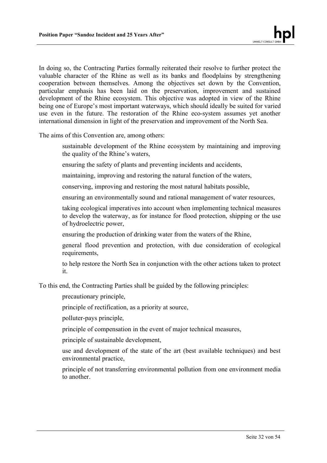In doing so, the Contracting Parties formally reiterated their resolve to further protect the valuable character of the Rhine as well as its banks and floodplains by strengthening cooperation between themselves. Among the objectives set down by the Convention, particular emphasis has been laid on the preservation, improvement and sustained development of the Rhine ecosystem. This objective was adopted in view of the Rhine being one of Europe's most important waterways, which should ideally be suited for varied use even in the future. The restoration of the Rhine eco-system assumes yet another international dimension in light of the preservation and improvement of the North Sea.

The aims of this Convention are, among others:

- sustainable development of the Rhine ecosystem by maintaining and improving the quality of the Rhine's waters,
- ensuring the safety of plants and preventing incidents and accidents,
- maintaining, improving and restoring the natural function of the waters,

conserving, improving and restoring the most natural habitats possible,

ensuring an environmentally sound and rational management of water resources,

taking ecological imperatives into account when implementing technical measures to develop the waterway, as for instance for flood protection, shipping or the use of hydroelectric power,

ensuring the production of drinking water from the waters of the Rhine,

general flood prevention and protection, with due consideration of ecological requirements.

to help restore the North Sea in conjunction with the other actions taken to protect it.

To this end, the Contracting Parties shall be guided by the following principles:

precautionary principle,

principle of rectification, as a priority at source,

polluter-pays principle,

principle of compensation in the event of major technical measures,

principle of sustainable development,

use and development of the state of the art (best available techniques) and best environmental practice,

principle of not transferring environmental pollution from one environment media to another.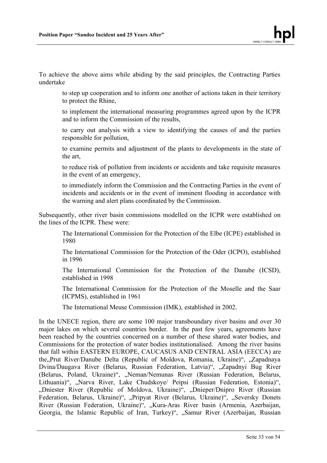To achieve the above aims while abiding by the said principles, the Contracting Parties undertake

to step up cooperation and to inform one another of actions taken in their territory to protect the Rhine,

to implement the international measuring programmes agreed upon by the ICPR and to inform the Commission of the results,

to carry out analysis with a view to identifying the causes of and the parties responsible for pollution,

to examine permits and adjustment of the plants to developments in the state of the art,

to reduce risk of pollution from incidents or accidents and take requisite measures in the event of an emergency,

to immediately inform the Commission and the Contracting Parties in the event of incidents and accidents or in the event of imminent flooding in accordance with the warning and alert plans coordinated by the Commission.

Subsequently, other river basin commissions modelled on the ICPR were established on the lines of the ICPR. These were:

The International Commission for the Protection of the Elbe (ICPE) established in 1980

The International Commission for the Protection of the Oder (ICPO), established in 1996

The International Commission for the Protection of the Danube (ICSD), established in 1998

The International Commission for the Protection of the Moselle and the Saar (ICPMS), established in 1961

The International Meuse Commission (IMK), established in 2002.

In the UNECE region, there are some 100 major transboundary river basins and over 30 major lakes on which several countries border. In the past few years, agreements have been reached by the countries concerned on a number of these shared water bodies, and Commissions for the protection of water bodies institutionalised. Among the river basins that fall within EASTERN EUROPE, CAUCASUS AND CENTRAL ASIA (EECCA) are the Prut River/Danube Delta (Republic of Moldova, Romania, Ukraine)", ...Zapadnaya Dvina/Daugava River (Belarus, Russian Federation, Latvia)", "Zapadnyi Bug River (Belarus, Poland, Ukraine)", "Neman/Nemunas River (Russian Federation, Belarus, Lithuania)", "Narva River, Lake Chudskoye/ Peipsi (Russian Federation, Estonia)", "Dniester River (Republic of Moldova, Ukraine)", "Dnieper/Dnipro River (Russian Federation, Belarus, Ukraine)", "Pripyat River (Belarus, Ukraine)", "Seversky Donets River (Russian Federation, Ukraine)", "Kura-Aras River basin (Armenia, Azerbaijan, Georgia, the Islamic Republic of Iran, Turkey)", "Samur River (Azerbaijan, Russian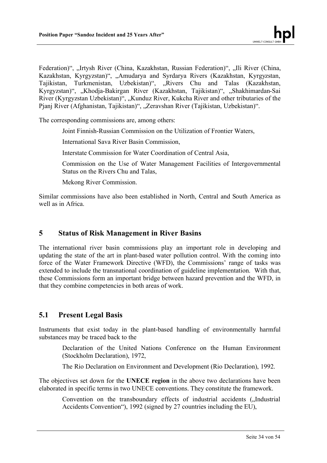Federation)", "Irtysh River (China, Kazakhstan, Russian Federation)", "Ili River (China, Kazakhstan, Kyrgyzstan)", "Amudarya and Syrdarya Rivers (Kazakhstan, Kyrgyzstan, Tajikistan, Turkmenistan, Uzbekistan)", "Rivers Chu and Talas (Kazakhstan, Kyrgyzstan)", "Khodja-Bakirgan River (Kazakhstan, Tajikistan)", "Shakhimardan-Sai River (Kyrgyzstan Uzbekistan)", "Kunduz River, Kukcha River and other tributaries of the Pjanj River (Afghanistan, Tajikistan)", "Zeravshan River (Tajikistan, Uzbekistan)".

The corresponding commissions are, among others:

Joint Finnish-Russian Commission on the Utilization of Frontier Waters,

International Sava River Basin Commission,

Interstate Commission for Water Coordination of Central Asia,

Commission on the Use of Water Management Facilities of Intergovernmental Status on the Rivers Chu and Talas,

Mekong River Commission.

Similar commissions have also been established in North, Central and South America as well as in Africa.

## **5 Status of Risk Management in River Basins**

The international river basin commissions play an important role in developing and updating the state of the art in plant-based water pollution control. With the coming into force of the Water Framework Directive (WFD), the Commissions' range of tasks was extended to include the transnational coordination of guideline implementation. With that, these Commissions form an important bridge between hazard prevention and the WFD, in that they combine competencies in both areas of work.

## **5.1 Present Legal Basis**

Instruments that exist today in the plant-based handling of environmentally harmful substances may be traced back to the

Declaration of the United Nations Conference on the Human Environment (Stockholm Declaration), 1972,

The Rio Declaration on Environment and Development (Rio Declaration), 1992.

The objectives set down for the **UNECE region** in the above two declarations have been elaborated in specific terms in two UNECE conventions. They constitute the framework.

Convention on the transboundary effects of industrial accidents ("Industrial Accidents Convention"), 1992 (signed by 27 countries including the EU),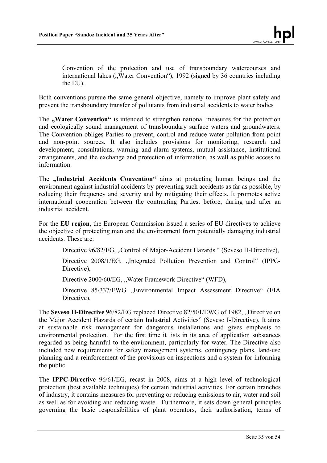Convention of the protection and use of transboundary watercourses and international lakes ("Water Convention"), 1992 (signed by 36 countries including the EU).

Both conventions pursue the same general objective, namely to improve plant safety and prevent the transboundary transfer of pollutants from industrial accidents to water bodies

The **"Water Convention"** is intended to strengthen national measures for the protection and ecologically sound management of transboundary surface waters and groundwaters. The Convention obliges Parties to prevent, control and reduce water pollution from point and non-point sources. It also includes provisions for monitoring, research and development, consultations, warning and alarm systems, mutual assistance, institutional arrangements, and the exchange and protection of information, as well as public access to information.

The **"Industrial Accidents Convention"** aims at protecting human beings and the environment against industrial accidents by preventing such accidents as far as possible, by reducing their frequency and severity and by mitigating their effects. It promotes active international cooperation between the contracting Parties, before, during and after an industrial accident.

For the **EU region**, the European Commission issued a series of EU directives to achieve the objective of protecting man and the environment from potentially damaging industrial accidents. These are:

Directive 96/82/EG, ..Control of Major-Accident Hazards " (Seveso II-Directive),

Directive 2008/1/EG, "Integrated Pollution Prevention and Control" (IPPC-Directive).

Directive 2000/60/EG, "Water Framework Directive" (WFD),

Directive 85/337/EWG "Environmental Impact Assessment Directive" (EIA Directive).

The **Seveso II-Directive** 96/82/EG replaced Directive 82/501/EWG of 1982, "Directive on the Major Accident Hazards of certain Industrial Activities" (Seveso I-Directive). It aims at sustainable risk management for dangerous installations and gives emphasis to environmental protection. For the first time it lists in its area of application substances regarded as being harmful to the environment, particularly for water. The Directive also included new requirements for safety management systems, contingency plans, land-use planning and a reinforcement of the provisions on inspections and a system for informing the public.

The **IPPC-Directive** 96/61/EG, recast in 2008, aims at a high level of technological protection (best available techniques) for certain industrial activities. For certain branches of industry, it contains measures for preventing or reducing emissions to air, water and soil as well as for avoiding and reducing waste. Furthermore, it sets down general principles governing the basic responsibilities of plant operators, their authorisation, terms of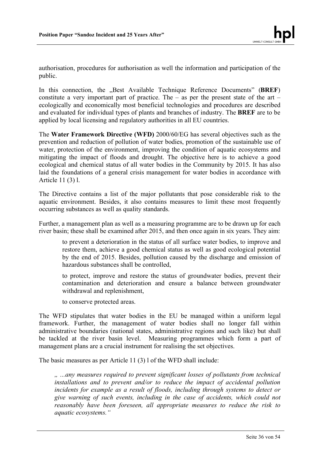authorisation, procedures for authorisation as well the information and participation of the public.

In this connection, the "Best Available Technique Reference Documents" (BREF) constitute a very important part of practice. The – as per the present state of the art – ecologically and economically most beneficial technologies and procedures are described and evaluated for individual types of plants and branches of industry. The **BREF** are to be applied by local licensing and regulatory authorities in all EU countries.

The **Water Framework Directive (WFD)** 2000/60/EG has several objectives such as the prevention and reduction of pollution of water bodies, promotion of the sustainable use of water, protection of the environment, improving the condition of aquatic ecosystems and mitigating the impact of floods and drought. The objective here is to achieve a good ecological and chemical status of all water bodies in the Community by 2015. It has also laid the foundations of a general crisis management for water bodies in accordance with Article 11 (3) l.

The Directive contains a list of the major pollutants that pose considerable risk to the aquatic environment. Besides, it also contains measures to limit these most frequently occurring substances as well as quality standards.

Further, a management plan as well as a measuring programme are to be drawn up for each river basin; these shall be examined after 2015, and then once again in six years. They aim:

to prevent a deterioration in the status of all surface water bodies, to improve and restore them, achieve a good chemical status as well as good ecological potential by the end of 2015. Besides, pollution caused by the discharge and emission of hazardous substances shall be controlled,

to protect, improve and restore the status of groundwater bodies, prevent their contamination and deterioration and ensure a balance between groundwater withdrawal and replenishment,

to conserve protected areas.

The WFD stipulates that water bodies in the EU be managed within a uniform legal framework. Further, the management of water bodies shall no longer fall within administrative boundaries (national states, administrative regions and such like) but shall be tackled at the river basin level. Measuring programmes which form a part of management plans are a crucial instrument for realising the set objectives.

The basic measures as per Article 11 (3) l of the WFD shall include:

*" ...any measures required to prevent significant losses of pollutants from technical installations and to prevent and/or to reduce the impact of accidental pollution incidents for example as a result of floods, including through systems to detect or give warning of such events, including in the case of accidents, which could not reasonably have been foreseen, all appropriate measures to reduce the risk to aquatic ecosystems."*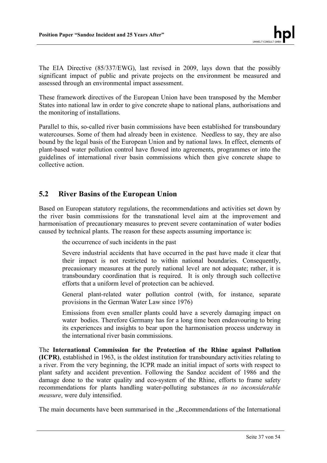The EIA Directive (85/337/EWG), last revised in 2009, lays down that the possibly significant impact of public and private projects on the environment be measured and assessed through an environmental impact assessment.

These framework directives of the European Union have been transposed by the Member States into national law in order to give concrete shape to national plans, authorisations and the monitoring of installations.

Parallel to this, so-called river basin commissions have been established for transboundary watercourses. Some of them had already been in existence. Needless to say, they are also bound by the legal basis of the European Union and by national laws. In effect, elements of plant-based water pollution control have flowed into agreements, programmes or into the guidelines of international river basin commissions which then give concrete shape to collective action.

## **5.2 River Basins of the European Union**

Based on European statutory regulations, the recommendations and activities set down by the river basin commissions for the transnational level aim at the improvement and harmonisation of precautionary measures to prevent severe contamination of water bodies caused by technical plants. The reason for these aspects assuming importance is:

the occurrence of such incidents in the past

Severe industrial accidents that have occurred in the past have made it clear that their impact is not restricted to within national boundaries. Consequently, precauionary measures at the purely national level are not adequate; rather, it is transboundary coordination that is required. It is only through such collective efforts that a uniform level of protection can be achieved.

General plant-related water pollution control (with, for instance, separate provisions in the German Water Law since 1976)

Emissions from even smaller plants could have a severely damaging impact on water bodies. Therefore Germany has for a long time been endeavouring to bring its experiences and insights to bear upon the harmonisation process underway in the international river basin commissions.

The **International Commission for the Protection of the Rhine against Pollution (ICPR)**, established in 1963, is the oldest institution for transboundary activities relating to a river. From the very beginning, the ICPR made an initial impact of sorts with respect to plant safety and accident prevention. Following the Sandoz accident of 1986 and the damage done to the water quality and eco-system of the Rhine, efforts to frame safety recommendations for plants handling water-polluting substances *in no inconsiderable measure*, were duly intensified.

The main documents have been summarised in the "Recommendations of the International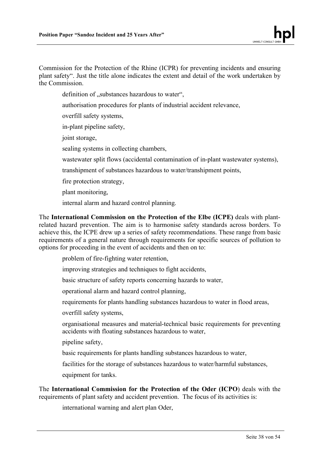Commission for the Protection of the Rhine (ICPR) for preventing incidents and ensuring plant safety". Just the title alone indicates the extent and detail of the work undertaken by the Commission.

definition of "substances hazardous to water",

authorisation procedures for plants of industrial accident relevance,

overfill safety systems,

in-plant pipeline safety,

joint storage.

sealing systems in collecting chambers,

wastewater split flows (accidental contamination of in-plant wastewater systems),

transhipment of substances hazardous to water/transhipment points,

fire protection strategy,

plant monitoring,

internal alarm and hazard control planning.

The **International Commission on the Protection of the Elbe (ICPE)** deals with plantrelated hazard prevention. The aim is to harmonise safety standards across borders. To achieve this, the ICPE drew up a series of safety recommendations. These range from basic requirements of a general nature through requirements for specific sources of pollution to options for proceeding in the event of accidents and then on to:

problem of fire-fighting water retention,

improving strategies and techniques to fight accidents,

basic structure of safety reports concerning hazards to water,

operational alarm and hazard control planning,

requirements for plants handling substances hazardous to water in flood areas,

overfill safety systems,

organisational measures and material-technical basic requirements for preventing accidents with floating substances hazardous to water,

pipeline safety,

basic requirements for plants handling substances hazardous to water,

facilities for the storage of substances hazardous to water/harmful substances,

equipment for tanks.

The **International Commission for the Protection of the Oder (ICPO**) deals with the requirements of plant safety and accident prevention. The focus of its activities is:

international warning and alert plan Oder,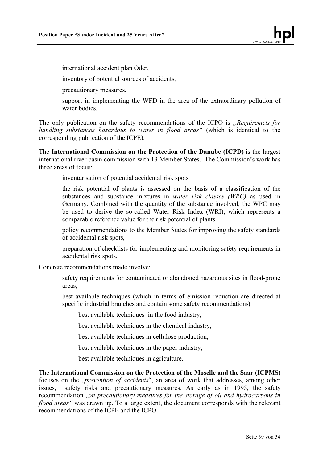international accident plan Oder,

inventory of potential sources of accidents,

precautionary measures,

support in implementing the WFD in the area of the extraordinary pollution of water bodies.

The only publication on the safety recommendations of the ICPO is *"Requiremets for handling substances hazardous to water in flood areas"* (which is identical to the corresponding publication of the ICPE).

The **International Commission on the Protection of the Danube (ICPD)** is the largest international river basin commission with 13 Member States. The Commission's work has three areas of focus:

inventarisation of potential accidental risk spots

the risk potential of plants is assessed on the basis of a classification of the substances and substance mixtures in *water risk classes (WRC)* as used in Germany. Combined with the quantity of the substance involved, the WPC may be used to derive the so-called Water Risk Index (WRI), which represents a comparable reference value for the risk potential of plants.

policy recommendations to the Member States for improving the safety standards of accidental risk spots,

preparation of checklists for implementing and monitoring safety requirements in accidental risk spots.

Concrete recommendations made involve:

safety requirements for contaminated or abandoned hazardous sites in flood-prone areas,

best available techniques (which in terms of emission reduction are directed at specific industrial branches and contain some safety recommendations)

best available techniques in the food industry,

best available techniques in the chemical industry,

best available techniques in cellulose production,

best available techniques in the paper industry,

best available techniques in agriculture.

The **International Commission on the Protection of the Moselle and the Saar (ICPMS)**  focuses on the *"prevention of accidents*", an area of work that addresses, among other issues, safety risks and precautionary measures. As early as in 1995, the safety recommendation "*on precautionary measures for the storage of oil and hydrocarbons in flood areas"* was drawn up. To a large extent, the document corresponds with the relevant recommendations of the ICPE and the ICPO.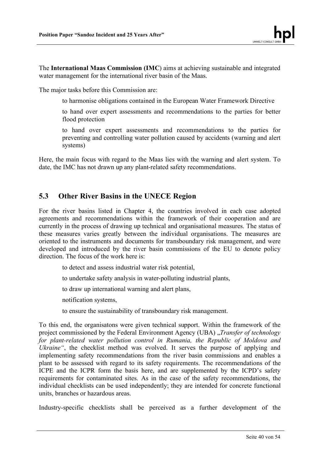The **International Maas Commission (IMC**) aims at achieving sustainable and integrated water management for the international river basin of the Maas.

The major tasks before this Commission are:

to harmonise obligations contained in the European Water Framework Directive

to hand over expert assessments and recommendations to the parties for better flood protection

to hand over expert assessments and recommendations to the parties for preventing and controlling water pollution caused by accidents (warning and alert systems)

Here, the main focus with regard to the Maas lies with the warning and alert system. To date, the IMC has not drawn up any plant-related safety recommendations.

## **5.3 Other River Basins in the UNECE Region**

For the river basins listed in Chapter 4, the countries involved in each case adopted agreements and recommendations within the framework of their cooperation and are currently in the process of drawing up technical and organisational measures. The status of these measures varies greatly between the individual organisations. The measures are oriented to the instruments and documents for transboundary risk management, and were developed and introduced by the river basin commissions of the EU to denote policy direction. The focus of the work here is:

to detect and assess industrial water risk potential,

to undertake safety analysis in water-polluting industrial plants,

to draw up international warning and alert plans,

notification systems,

to ensure the sustainability of transboundary risk management.

To this end, the organisatons were given technical support. Within the framework of the project commissioned by the Federal Environment Agency (UBA) "*Transfer of technology*" *for plant-related water pollution control in Rumania, the Republic of Moldova and Ukraine*", the checklist method was evolved. It serves the purpose of applying and implementing safety recommendations from the river basin commissions and enables a plant to be assessed with regard to its safety requirements. The recommendations of the ICPE and the ICPR form the basis here, and are supplemented by the ICPD's safety requirements for contaminated sites. As in the case of the safety recommendations, the individual checklists can be used independently; they are intended for concrete functional units, branches or hazardous areas.

Industry-specific checklists shall be perceived as a further development of the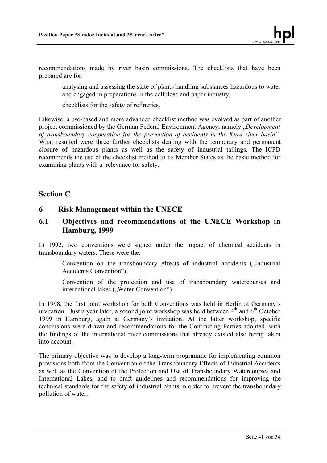recommendations made by river basin commissions. The checklists that have been prepared are for:

analysing and assessing the state of plants handling substances hazardous to water and engaged in preparations in the cellulose and paper industry,

checklists for the safety of refineries.

Likewise, a use-based and more advanced checklist method was evolved as part of another project commissioned by the German Federal Environment Agency, namely *"Development of transboundary cooperation for the prevention of accidents in the Kura river basin".* What resulted were three further checklists dealing with the temporary and permanent closure of hazardous plants as well as the safety of industrial tailings. The ICPD recommends the use of the checklist method to its Member States as the basic method for examining plants with a relevance for safety.

#### **Section C**

#### **6 Risk Management within the UNECE**

## **6.1 Objectives and recommendations of the UNECE Workshop in Hamburg, 1999**

In 1992, two conventions were signed under the impact of chemical accidents in transboundary waters. These were the:

Convention on the transboundary effects of industrial accidents ("Industrial Accidents Convention"),

Convention of the protection and use of transboundary watercourses and international lakes ("Water-Convention")

In 1998, the first joint workshop for both Conventions was held in Berlin at Germany's invitation. Just a year later, a second joint workshop was held between  $4<sup>th</sup>$  and  $6<sup>th</sup>$  October 1999 in Hamburg, again at Germany's invitation. At the latter workshop, specific conclusions were drawn and recommendations for the Contracting Parties adopted, with the findings of the international river commissions that already existed also being taken into account.

The primary objective was to develop a long-term programme for implementing common provisions both from the Convention on the Transboundary Effects of Industrial Accidents as well as the Convention of the Protection and Use of Transboundary Watercourses and International Lakes, and to draft guidelines and recommendations for improving the technical standards for the safety of industrial plants in order to prevent the transboundary pollution of water.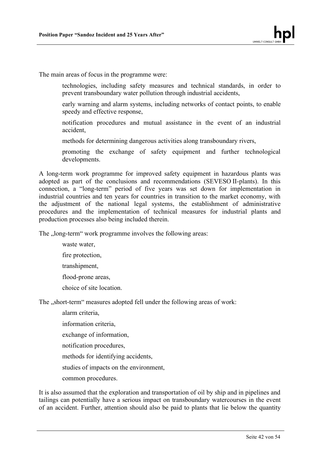The main areas of focus in the programme were:

- technologies, including safety measures and technical standards, in order to prevent transboundary water pollution through industrial accidents,
- early warning and alarm systems, including networks of contact points, to enable speedy and effective response,
- notification procedures and mutual assistance in the event of an industrial accident,
- methods for determining dangerous activities along transboundary rivers,
- promoting the exchange of safety equipment and further technological developments.

A long-term work programme for improved safety equipment in hazardous plants was adopted as part of the conclusions and recommendations (SEVESO II-plants). In this connection, a "long-term" period of five years was set down for implementation in industrial countries and ten years for countries in transition to the market economy, with the adjustment of the national legal systems, the establishment of administrative procedures and the implementation of technical measures for industrial plants and production processes also being included therein.

The ...long-term" work programme involves the following areas:

waste water, fire protection, transhipment, flood-prone areas, choice of site location.

The "short-term" measures adopted fell under the following areas of work:

alarm criteria,

- information criteria,
- exchange of information,

notification procedures,

methods for identifying accidents,

studies of impacts on the environment,

common procedures.

It is also assumed that the exploration and transportation of oil by ship and in pipelines and tailings can potentially have a serious impact on transboundary watercourses in the event of an accident. Further, attention should also be paid to plants that lie below the quantity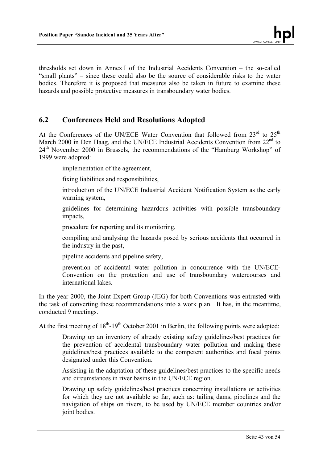thresholds set down in Annex I of the Industrial Accidents Convention – the so-called "small plants" – since these could also be the source of considerable risks to the water bodies. Therefore it is proposed that measures also be taken in future to examine these hazards and possible protective measures in transboundary water bodies.

## **6.2 Conferences Held and Resolutions Adopted**

At the Conferences of the UN/ECE Water Convention that followed from  $23<sup>rd</sup>$  to  $25<sup>th</sup>$ March 2000 in Den Haag, and the UN/ECE Industrial Accidents Convention from  $22<sup>nd</sup>$  to 24<sup>th</sup> November 2000 in Brussels, the recommendations of the "Hamburg Workshop" of 1999 were adopted:

implementation of the agreement,

fixing liabilities and responsibilities,

introduction of the UN/ECE Industrial Accident Notification System as the early warning system,

guidelines for determining hazardous activities with possible transboundary impacts,

procedure for reporting and its monitoring,

compiling and analysing the hazards posed by serious accidents that occurred in the industry in the past,

pipeline accidents and pipeline safety,

prevention of accidental water pollution in concurrence with the UN/ECE-Convention on the protection and use of transboundary watercourses and international lakes.

In the year 2000, the Joint Expert Group (JEG) for both Conventions was entrusted with the task of converting these recommendations into a work plan. It has, in the meantime, conducted 9 meetings.

At the first meeting of  $18<sup>th</sup>$ -19<sup>th</sup> October 2001 in Berlin, the following points were adopted:

Drawing up an inventory of already existing safety guidelines/best practices for the prevention of accidental transboundary water pollution and making these guidelines/best practices available to the competent authorities and focal points designated under this Convention.

Assisting in the adaptation of these guidelines/best practices to the specific needs and circumstances in river basins in the UN/ECE region.

Drawing up safety guidelines/best practices concerning installations or activities for which they are not available so far, such as: tailing dams, pipelines and the navigation of ships on rivers, to be used by UN/ECE member countries and/or joint bodies.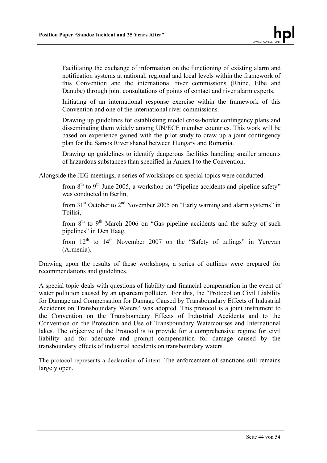Facilitating the exchange of information on the functioning of existing alarm and notification systems at national, regional and local levels within the framework of this Convention and the international river commissions (Rhine, Elbe and Danube) through joint consultations of points of contact and river alarm experts.

Initiating of an international response exercise within the framework of this Convention and one of the international river commissions.

Drawing up guidelines for establishing model cross-border contingency plans and disseminating them widely among UN/ECE member countries. This work will be based on experience gained with the pilot study to draw up a joint contingency plan for the Samos River shared between Hungary and Romania.

Drawing up guidelines to identify dangerous facilities handling smaller amounts of hazardous substances than specified in Annex I to the Convention.

Alongside the JEG meetings, a series of workshops on special topics were conducted.

from  $8<sup>th</sup>$  to  $9<sup>th</sup>$  June 2005, a workshop on "Pipeline accidents and pipeline safety" was conducted in Berlin,

from  $31<sup>st</sup>$  October to  $2<sup>nd</sup>$  November 2005 on "Early warning and alarm systems" in Tbilisi,

from  $8<sup>th</sup>$  to  $9<sup>th</sup>$  March 2006 on "Gas pipeline accidents and the safety of such pipelines" in Den Haag,

from  $12<sup>th</sup>$  to  $14<sup>th</sup>$  November 2007 on the "Safety of tailings" in Yerevan (Armenia).

Drawing upon the results of these workshops, a series of outlines were prepared for recommendations and guidelines.

A special topic deals with questions of liability and financial compensation in the event of water pollution caused by an upstream polluter. For this, the "Protocol on Civil Liability for Damage and Compensation for Damage Caused by Transboundary Effects of Industrial Accidents on Transboundary Waters" was adopted. This protocol is a joint instrument to the Convention on the Transboundary Effects of Industrial Accidents and to the Convention on the Protection and Use of Transboundary Watercourses and International lakes. The objective of the Protocol is to provide for a comprehensive regime for civil liability and for adequate and prompt compensation for damage caused by the transboundary effects of industrial accidents on transboundary waters.

The protocol represents a declaration of intent. The enforcement of sanctions still remains largely open.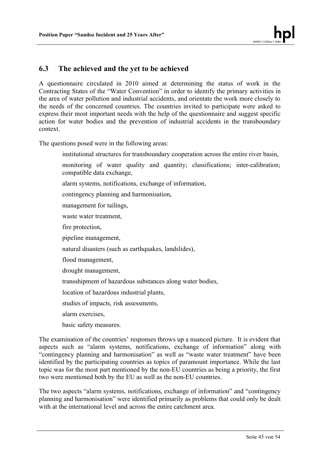## **6.3 The achieved and the yet to be achieved**

A questionnaire circulated in 2010 aimed at determining the status of work in the Contracting States of the "Water Convention" in order to identify the primary activities in the area of water pollution and industrial accidents, and orientate the work more closely to the needs of the concerned countries. The countries invited to participate were asked to express their most important needs with the help of the questionnaire and suggest specific action for water bodies and the prevention of industrial accidents in the transboundary context.

The questions posed were in the following areas:

- institutional structures for transboundary cooperation across the entire river basin,
- monitoring of water quality and quantity; classifications; inter-calibration; compatible data exchange,
- alarm systems, notifications, exchange of information,
- contingency planning and harmonisation,
- management for tailings,
- waste water treatment,
- fire protection,
- pipeline management,
- natural disasters (such as earthquakes, landslides),
- flood management,
- drought management,
- transshipment of hazardous substances along water bodies,
- location of hazardous industrial plants,
- studies of impacts, risk assessments,
- alarm exercises,
- basic safety measures.

The examination of the countries' responses throws up a nuanced picture. It is evident that aspects such as "alarm systems, notifications, exchange of information" along with "contingency planning and harmonisation" as well as "waste water treatment" have been identified by the participating countries as topics of paramount importance. While the last topic was for the most part mentioned by the non-EU countries as being a priority, the first two were mentioned both by the EU as well as the non-EU countries.

The two aspects "alarm systems, notifications, exchange of information" and "contingency planning and harmonisation" were identified primarily as problems that could only be dealt with at the international level and across the entire catchment area.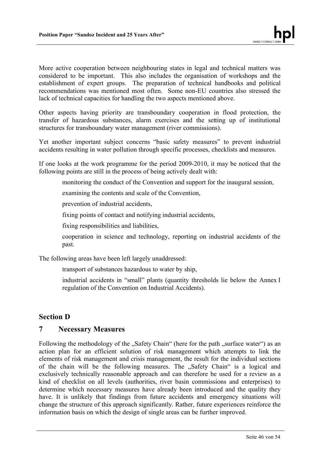More active cooperation between neighbouring states in legal and technical matters was considered to be important. This also includes the organisation of workshops and the establishment of expert groups. The preparation of technical handbooks and political recommendations was mentioned most often. Some non-EU countries also stressed the lack of technical capacities for handling the two aspects mentioned above.

Other aspects having priority are transboundary cooperation in flood protection, the transfer of hazardous substances, alarm exercises and the setting up of institutional structures for transboundary water management (river commissions).

Yet another important subject concerns "basic safety measures" to prevent industrial accidents resulting in water pollution through specific processes, checklists and measures.

If one looks at the work programme for the period 2009-2010, it may be noticed that the following points are still in the process of being actively dealt with:

monitoring the conduct of the Convention and support for the inaugural session,

examining the contents and scale of the Convention,

prevention of industrial accidents,

fixing points of contact and notifying industrial accidents,

fixing responsibilities and liabilities,

cooperation in science and technology, reporting on industrial accidents of the past.

The following areas have been left largely unaddressed:

transport of substances hazardous to water by ship,

industrial accidents in "small" plants (quantity thresholds lie below the Annex I regulation of the Convention on Industrial Accidents).

## **Section D**

## **7 Necessary Measures**

Following the methodology of the "Safety Chain" (here for the path "surface water") as an action plan for an efficient solution of risk management which attempts to link the elements of risk management and crisis management, the result for the individual sections of the chain will be the following measures. The "Safety Chain" is a logical and exclusively technically reasonable approach and can therefore be used for a review as a kind of checklist on all levels (authorities, river basin commissions and enterprises) to determine which necessary measures have already been introduced and the quality they have. It is unlikely that findings from future accidents and emergency situations will change the structure of this approach significantly. Rather, future experiences reinforce the information basis on which the design of single areas can be further improved.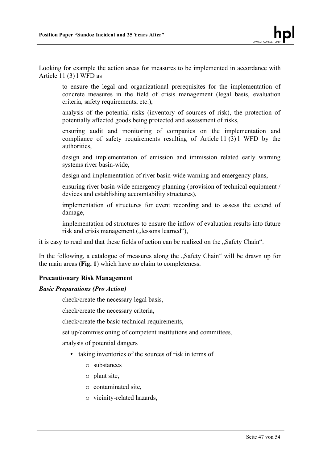Looking for example the action areas for measures to be implemented in accordance with Article 11 (3) l WFD as

to ensure the legal and organizational prerequisites for the implementation of concrete measures in the field of crisis management (legal basis, evaluation criteria, safety requirements, etc.),

analysis of the potential risks (inventory of sources of risk), the protection of potentially affected goods being protected and assessment of risks,

ensuring audit and monitoring of companies on the implementation and compliance of safety requirements resulting of Article 11 (3) l WFD by the authorities,

design and implementation of emission and immission related early warning systems river basin-wide,

design and implementation of river basin-wide warning and emergency plans,

ensuring river basin-wide emergency planning (provision of technical equipment / devices and establishing accountability structures),

implementation of structures for event recording and to assess the extend of damage,

implementation od structures to ensure the inflow of evaluation results into future risk and crisis management ("lessons learned"),

it is easy to read and that these fields of action can be realized on the "Safety Chain".

In the following, a catalogue of measures along the ...Safety Chain" will be drawn up for the main areas (**Fig. 1**) which have no claim to completeness.

#### **Precautionary Risk Management**

#### *Basic Preparations (Pro Action)*

check/create the necessary legal basis,

check/create the necessary criteria,

check/create the basic technical requirements,

set up/commissioning of competent institutions and committees,

analysis of potential dangers

- taking inventories of the sources of risk in terms of
	- o substances
	- o plant site,
	- o contaminated site,
	- o vicinity-related hazards,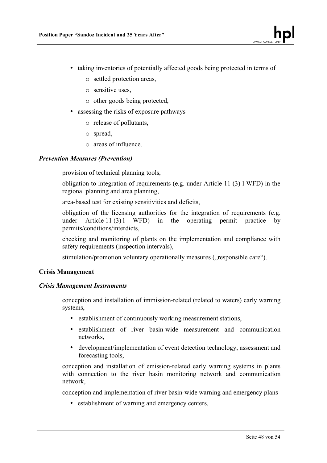- taking inventories of potentially affected goods being protected in terms of
	- o settled protection areas,
	- o sensitive uses,
	- o other goods being protected,
- assessing the risks of exposure pathways
	- o release of pollutants,
	- o spread,
	- o areas of influence.

#### *Prevention Measures (Prevention)*

provision of technical planning tools,

obligation to integration of requirements (e.g. under Article 11 (3) l WFD) in the regional planning and area planning,

area-based test for existing sensitivities and deficits,

obligation of the licensing authorities for the integration of requirements (e.g. under Article  $11(3)1$  WFD) in the operating permit practice by permits/conditions/interdicts,

checking and monitoring of plants on the implementation and compliance with safety requirements (inspection intervals),

stimulation/promotion voluntary operationally measures ("responsible care").

#### **Crisis Management**

#### *Crisis Management Instruments*

conception and installation of immission-related (related to waters) early warning systems,

- establishment of continuously working measurement stations,
- establishment of river basin-wide measurement and communication networks,
- development/implementation of event detection technology, assessment and forecasting tools,

conception and installation of emission-related early warning systems in plants with connection to the river basin monitoring network and communication network,

conception and implementation of river basin-wide warning and emergency plans

• establishment of warning and emergency centers,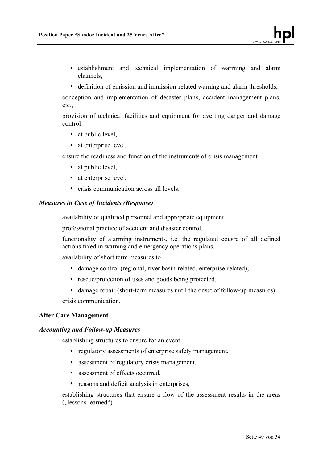- establishment and technical implementation of warrning and alarm channels,
- definition of emission and immission-related warning and alarm thresholds,

conception and implementation of desaster plans, accident management plans, etc.,

provision of technical facilities and equipment for averting danger and damage control

- at public level.
- at enterprise level,

ensure the readiness and function of the instruments of crisis management

- at public level,
- at enterprise level,
- crisis communication across all levels.

#### *Measures in Case of Incidents (Response)*

availability of qualified personnel and appropriate equipment,

professional practice of accident and disaster control,

functionality of alarming instruments, i.e. the regulated cousre of all defined actions fixed in warning and emergency operations plans,

availability of short term measures to

- damage control (regional, river basin-related, enterprise-related),
- rescue/protection of uses and goods being protected,
- damage repair (short-term measures until the onset of follow-up measures)

crisis communication.

#### **After Care Management**

#### *Accounting and Follow-up Measures*

establishing structures to ensure for an event

- regulatory assessments of enterprise safety management,
- assessment of regulatory crisis management,
- assessment of effects occurred,
- reasons and deficit analysis in enterprises.

establishing structures that ensure a flow of the assessment results in the areas ( $l$ essons learned")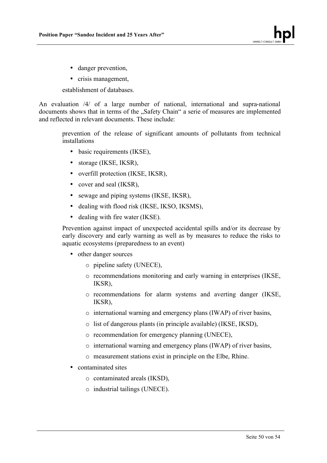- danger prevention,
- crisis management,

establishment of databases.

An evaluation /4/ of a large number of national, international and supra-national documents shows that in terms of the "Safety Chain" a serie of measures are implemented and reflected in relevant documents. These include:

prevention of the release of significant amounts of pollutants from technical installations

- basic requirements (IKSE),
- storage (IKSE, IKSR),
- overfill protection (IKSE, IKSR),
- cover and seal (IKSR),
- sewage and piping systems (IKSE, IKSR),
- dealing with flood risk (IKSE, IKSO, IKSMS),
- dealing with fire water (IKSE).

Prevention against impact of unexpected accidental spills and/or its decrease by early discovery and early warning as well as by measures to reduce the risks to aquatic ecosystems (preparedness to an event)

- other danger sources
	- o pipeline safety (UNECE),
	- o recommendations monitoring and early warning in enterprises (IKSE, IKSR),
	- o recommendations for alarm systems and averting danger (IKSE, IKSR),
	- o international warning and emergency plans (IWAP) of river basins,
	- o list of dangerous plants (in principle available) (IKSE, IKSD),
	- o recommendation for emergency planning (UNECE),
	- o international warning and emergency plans (IWAP) of river basins,
	- o measurement stations exist in principle on the Elbe, Rhine.
- contaminated sites
	- o contaminated areals (IKSD),
	- o industrial tailings (UNECE).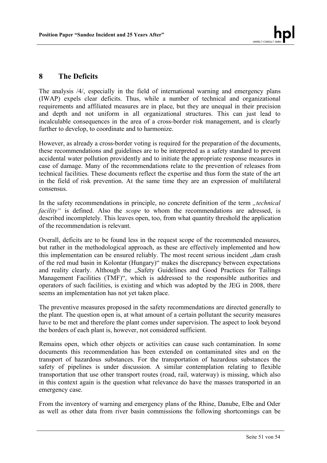## **8 The Deficits**

The analysis /4/, especially in the field of international warning and emergency plans (IWAP) expels clear deficits. Thus, while a number of technical and organizational requirements and affiliated measures are in place, but they are unequal in their precision and depth and not uniform in all organizational structures. This can just lead to incalculable consequences in the area of a cross-border risk management, and is clearly further to develop, to coordinate and to harmonize.

However, as already a cross-border voting is required for the preparation of the documents, these recommendations and guidelines are to be interpreted as a safety standard to prevent accidental water pollution providently and to initiate the appropriate response measures in case of damage. Many of the recommendations relate to the prevention of releases from technical facilities. These documents reflect the expertise and thus form the state of the art in the field of risk prevention. At the same time they are an expression of multilateral consensus.

In the safety recommendations in principle, no concrete definition of the term *"technical facility"* is defined. Also the *scope* to whom the recommendations are adressed, is described incompletely. This leaves open, too, from what quantity threshold the application of the recommendation is relevant.

Overall, deficits are to be found less in the request scope of the recommended measures, but rather in the methodological approach, as these are effectively implemented and how this implementation can be ensured reliably. The most recent serious incident "dam crash of the red mud basin in Kolontar (Hungary)" makes the discrepancy between expectations and reality clearly. Although the "Safety Guidelines and Good Practices for Tailings Management Facilities (TMF)", which is addressed to the responsible authorities and operators of such facilities, is existing and which was adopted by the JEG in 2008, there seems an implementation has not yet taken place.

The preventive measures proposed in the safety recommendations are directed generally to the plant. The question open is, at what amount of a certain pollutant the security measures have to be met and therefore the plant comes under supervision. The aspect to look beyond the borders of each plant is, however, not considered sufficient.

Remains open, which other objects or activities can cause such contamination. In some documents this recommendation has been extended on contaminated sites and on the transport of hazardous substances. For the transportation of hazardous substances the safety of pipelines is under discussion. A similar contemplation relating to flexible transportation that use other transport routes (road, rail, waterway) is missing, which also in this context again is the question what relevance do have the masses transported in an emergency case.

From the inventory of warning and emergency plans of the Rhine, Danube, Elbe and Oder as well as other data from river basin commissions the following shortcomings can be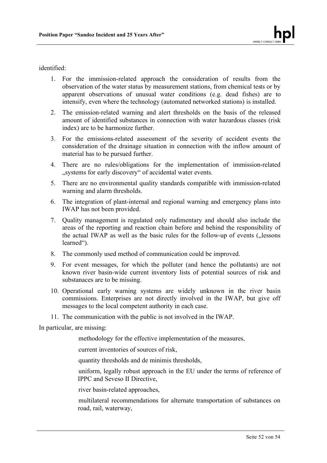identified:

- 1. For the immission-related approach the consideration of results from the observation of the water status by measurement stations, from chemical tests or by apparent observations of unusual water conditions (e.g. dead fishes) are to intensify, even where the technology (automated networked stations) is installed.
- 2. The emission-related warning and alert thresholds on the basis of the released amount of identified substances in connection with water hazardous classes (risk index) are to be harmonize further.
- 3. For the emissions-related assessment of the severity of accident events the consideration of the drainage situation in connection with the inflow amount of material has to be pursued further.
- 4. There are no rules/obligations for the implementation of immission-related ..systems for early discovery" of accidental water events.
- 5. There are no environmental quality standards compatible with immission-related warning and alarm thresholds.
- 6. The integration of plant-internal and regional warning and emergency plans into IWAP has not been provided.
- 7. Quality management is regulated only rudimentary and should also include the areas of the reporting and reaction chain before and behind the responsibility of the actual IWAP as well as the basic rules for the follow-up of events ( $,$ lessons learned").
- 8. The commonly used method of communication could be improved.
- 9. For event messages, for which the polluter (and hence the pollutants) are not known river basin-wide current inventory lists of potential sources of risk and substanaces are to be missing.
- 10. Operational early warning systems are widely unknown in the river basin commissions. Enterprises are not directly involved in the IWAP, but give off messages to the local competent authority in each case.
- 11. The communication with the public is not involved in the IWAP.

In particular, are missing:

methodology for the effective implementation of the measures,

current inventories of sources of risk,

quantity thresholds and de minimis thresholds,

uniform, legally robust approach in the EU under the terms of reference of IPPC and Seveso II Directive,

river basin-related approaches,

multilateral recommendations for alternate transportation of substances on road, rail, waterway,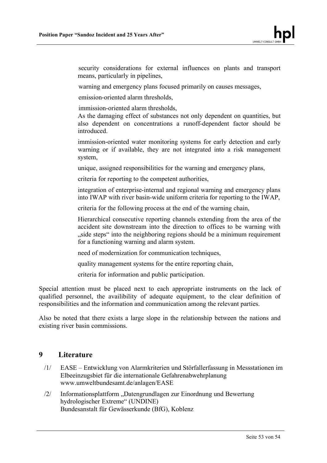security considerations for external influences on plants and transport means, particularly in pipelines,

warning and emergency plans focused primarily on causes messages,

emission-oriented alarm thresholds,

immission-oriented alarm thresholds,

As the damaging effect of substances not only dependent on quantities, but also dependent on concentrations a runoff-dependent factor should be introduced.

immission-oriented water monitoring systems for early detection and early warning or if available, they are not integrated into a risk management system,

unique, assigned responsibilities for the warning and emergency plans,

criteria for reporting to the competent authorities,

integration of enterprise-internal and regional warning and emergency plans into IWAP with river basin-wide uniform criteria for reporting to the IWAP,

criteria for the following process at the end of the warning chain,

Hierarchical consecutive reporting channels extending from the area of the accident site downstream into the direction to offices to be warning with "side steps" into the neighboring regions should be a minimum requirement. for a functioning warning and alarm system.

need of modernization for communication techniques,

quality management systems for the entire reporting chain,

criteria for information and public participation.

Special attention must be placed next to each appropriate instruments on the lack of qualified personnel, the availibility of adequate equipment, to the clear definition of responsibilities and the information and communication among the relevant parties.

Also be noted that there exists a large slope in the relationship between the nations and existing river basin commissions.

## **9 Literature**

- /1/ EASE Entwicklung von Alarmkriterien und Störfallerfassung in Messstationen im Elbeeinzugsbiet für die internationale Gefahrenabwehrplanung www.umweltbundesamt.de/anlagen/EASE
- /2/ Informationsplattform "Datengrundlagen zur Einordnung und Bewertung hydrologischer Extreme" (UNDINE) Bundesanstalt für Gewässerkunde (BfG), Koblenz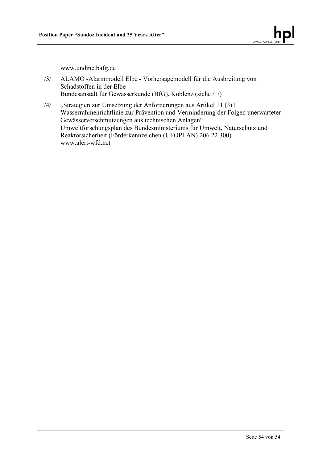www.undine.bafg.de .

- /3/ ALAMO -Alarmmodell Elbe Vorhersagemodell für die Ausbreitung von Schadstoffen in der Elbe Bundesanstalt für Gewässerkunde (BfG), Koblenz (siehe /1/)
- /4/ "Strategien zur Umsetzung der Anforderungen aus Artikel 11 (3) l Wasserrahmenrichtlinie zur Prävention und Verminderung der Folgen unerwarteter Gewässerverschmutzungen aus technischen Anlagen" Umweltforschungsplan des Bundesministeriums für Umwelt, Naturschutz und Reaktorsicherheit (Förderkennzeichen (UFOPLAN) 206 22 300) www.alert-wfd.net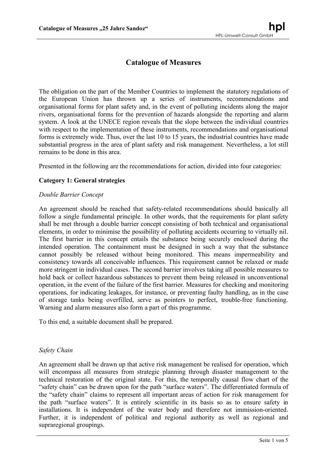# **Catalogue of Measures**

The obligation on the part of the Member Countries to implement the statutory regulations of the European Union has thrown up a series of instruments, recommendations and organisational forms for plant safety and, in the event of polluting incidents along the major rivers, organisational forms for the prevention of hazards alongside the reporting and alarm system. A look at the UNECE region reveals that the slope between the individual countries with respect to the implementation of these instruments, recommendations and organisational forms is extremely wide. Thus, over the last 10 to 15 years, the industrial countries have made substantial progress in the area of plant safety and risk management. Nevertheless, a lot still remains to be done in this area.

Presented in the following are the recommendations for action, divided into four categories:

#### **Category 1: General strategies**

#### *Double Barrier Concept*

An agreement should be reached that safety-related recommendations should basically all follow a single fundamental principle. In other words, that the requirements for plant safety shall be met through a double barrier concept consisting of both technical and organisational elements, in order to minimise the possibility of polluting accidents occurring to virtually nil. The first barrier in this concept entails the substance being securely enclosed during the intended operation. The containment must be designed in such a way that the substance cannot possibly be released without being monitored. This means impermeability and consistency towards all conceivable influences. This requirement cannot be relaxed or made more stringent in individual cases. The second barrier involves taking all possible measures to hold back or collect hazardous substances to prevent them being released in unconventional operation, in the event of the failure of the first barrier. Measures for checking and monitoring operations, for indicating leakages, for instance, or preventing faulty handling, as in the case of storage tanks being overfilled, serve as pointers to perfect, trouble-free functioning. Warning and alarm measures also form a part of this programme.

To this end, a suitable document shall be prepared.

#### *Safety Chain*

An agreement shall be drawn up that active risk management be realised for operation, which will encompass all measures from strategic planning through disaster management to the technical restoration of the original state. For this, the temporally causal flow chart of the "safety chain" can be drawn upon for the path "surface waters". The differentiated formula of the "safety chain" claims to represent all important areas of action for risk management for the path "surface waters". It is entirely scientific in its basis so as to ensure safety in installations. It is independent of the water body and therefore not immission-oriented. Further, it is independent of political and regional authority as well as regional and supraregional groupings.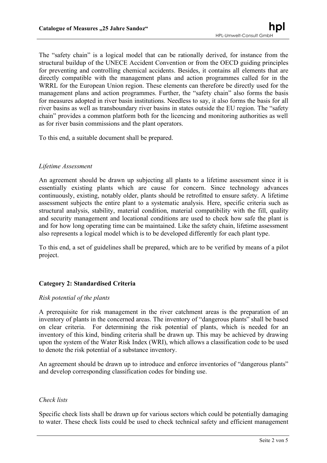The "safety chain" is a logical model that can be rationally derived, for instance from the structural buildup of the UNECE Accident Convention or from the OECD guiding principles for preventing and controlling chemical accidents. Besides, it contains all elements that are directly compatible with the management plans and action programmes called for in the WRRL for the European Union region. These elements can therefore be directly used for the management plans and action programmes. Further, the "safety chain" also forms the basis for measures adopted in river basin institutions. Needless to say, it also forms the basis for all river basins as well as transboundary river basins in states outside the EU region. The "safety chain" provides a common platform both for the licencing and monitoring authorities as well as for river basin commissions and the plant operators.

To this end, a suitable document shall be prepared.

#### *Lifetime Assessment*

An agreement should be drawn up subjecting all plants to a lifetime assessment since it is essentially existing plants which are cause for concern. Since technology advances continuously, existing, notably older, plants should be retrofitted to ensure safety. A lifetime assessment subjects the entire plant to a systematic analysis. Here, specific criteria such as structural analysis, stability, material condition, material compatibility with the fill, quality and security management and locational conditions are used to check how safe the plant is and for how long operating time can be maintained. Like the safety chain, lifetime assessment also represents a logical model which is to be developed differently for each plant type.

To this end, a set of guidelines shall be prepared, which are to be verified by means of a pilot project.

#### **Category 2: Standardised Criteria**

#### *Risk potential of the plants*

A prerequisite for risk management in the river catchment areas is the preparation of an inventory of plants in the concerned areas. The inventory of "dangerous plants" shall be based on clear criteria. For determining the risk potential of plants, which is needed for an inventory of this kind, binding criteria shall be drawn up. This may be achieved by drawing upon the system of the Water Risk Index (WRI), which allows a classification code to be used to denote the risk potential of a substance inventory.

An agreement should be drawn up to introduce and enforce inventories of "dangerous plants" and develop corresponding classification codes for binding use.

#### *Check lists*

Specific check lists shall be drawn up for various sectors which could be potentially damaging to water. These check lists could be used to check technical safety and efficient management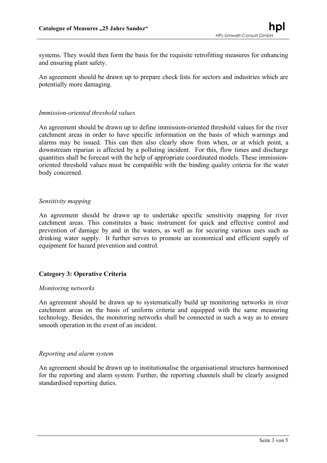systems. They would then form the basis for the requisite retrofitting measures for enhancing and ensuring plant safety.

An agreement should be drawn up to prepare check lists for sectors and industries which are potentially more damaging.

#### *Immission-oriented threshold values*

An agreement should be drawn up to define immission-oriented threshold values for the river catchment areas in order to have specific information on the basis of which warnings and alarms may be issued. This can then also clearly show from when, or at which point, a downstream riparian is affected by a polluting incident. For this, flow times and discharge quantities shall be forecast with the help of appropriate coordinated models. These immissionoriented threshold values must be compatible with the binding quality criteria for the water body concerned.

#### *Sensitivity mapping*

An agreement should be drawn up to undertake specific sensitivity mapping for river catchment areas. This constitutes a basic instrument for quick and effective control and prevention of damage by and in the waters, as well as for securing various uses such as drinking water supply. It further serves to promote an economical and efficient supply of equipment for hazard prevention and control.

#### **Category 3: Operative Criteria**

#### *Monitoring networks*

An agreement should be drawn up to systematically build up monitoring networks in river catchment areas on the basis of uniform criteria and equipped with the same measuring technology. Besides, the monitoring networks shall be connected in such a way as to ensure smooth operation in the event of an incident.

#### *Reporting and alarm system*

An agreement should be drawn up to institutionalise the organisational structures harmonised for the reporting and alarm system. Further, the reporting channels shall be clearly assigned standardised reporting duties.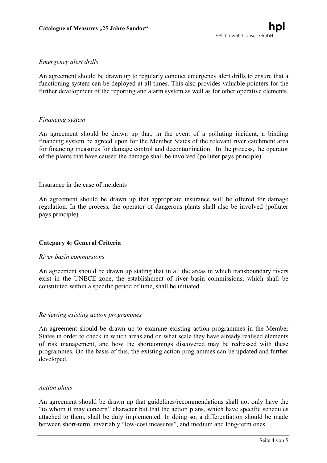#### *Emergency alert drills*

An agreement should be drawn up to regularly conduct emergency alert drills to ensure that a functioning system can be deployed at all times. This also provides valuable pointers for the further development of the reporting and alarm system as well as for other operative elements.

#### *Financing system*

An agreement should be drawn up that, in the event of a polluting incident, a binding financing system be agreed upon for the Member States of the relevant river catchment area for financing measures for damage control and decontamination. In the process, the operator of the plants that have caused the damage shall be involved (polluter pays principle).

#### Insurance in the case of incidents

An agreement should be drawn up that appropriate insurance will be offered for damage regulation. In the process, the operator of dangerous plants shall also be involved (polluter pays principle).

#### **Category 4: General Criteria**

#### *River basin commissions*

An agreement should be drawn up stating that in all the areas in which transboundary rivers exist in the UNECE zone, the establishment of river basin commissions, which shall be constituted within a specific period of time, shall be initiated.

#### *Reviewing existing action programmes*

An agreement should be drawn up to examine existing action programmes in the Member States in order to check in which areas and on what scale they have already realised elements of risk management, and how the shortcomings discovered may be redressed with these programmes. On the basis of this, the existing action programmes can be updated and further developed.

#### *Action plans*

An agreement should be drawn up that guidelines/recommendations shall not only have the "to whom it may concern" character but that the action plans, which have specific schedules attached to them, shall be duly implemented. In doing so, a differentiation should be made between short-term, invariably "low-cost measures", and medium and long-term ones.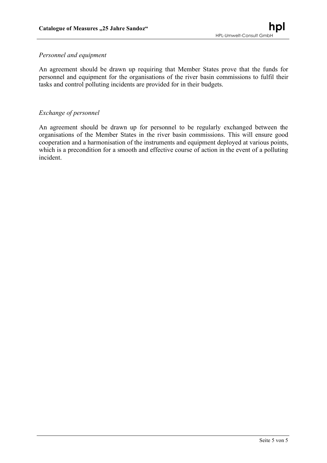#### *Personnel and equipment*

An agreement should be drawn up requiring that Member States prove that the funds for personnel and equipment for the organisations of the river basin commissions to fulfil their tasks and control polluting incidents are provided for in their budgets.

#### *Exchange of personnel*

An agreement should be drawn up for personnel to be regularly exchanged between the organisations of the Member States in the river basin commissions. This will ensure good cooperation and a harmonisation of the instruments and equipment deployed at various points, which is a precondition for a smooth and effective course of action in the event of a polluting incident.